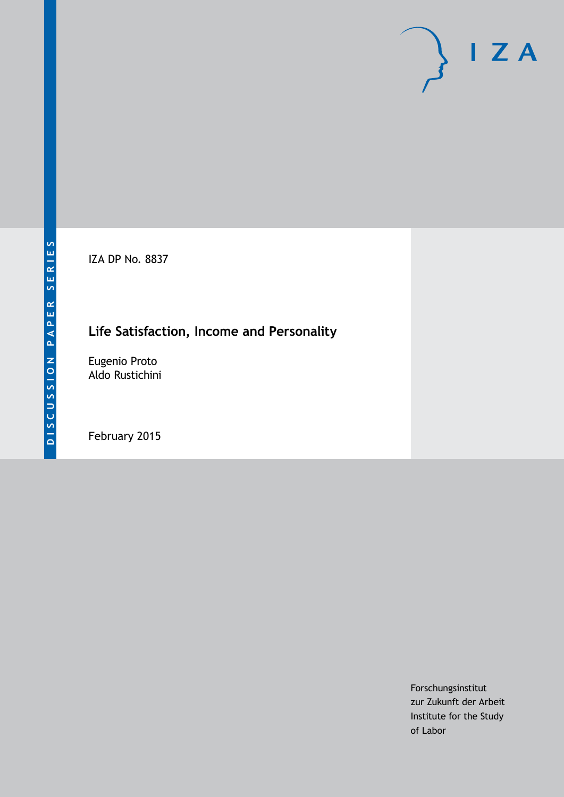IZA DP No. 8837

## **Life Satisfaction, Income and Personality**

Eugenio Proto Aldo Rustichini

February 2015

Forschungsinstitut zur Zukunft der Arbeit Institute for the Study of Labor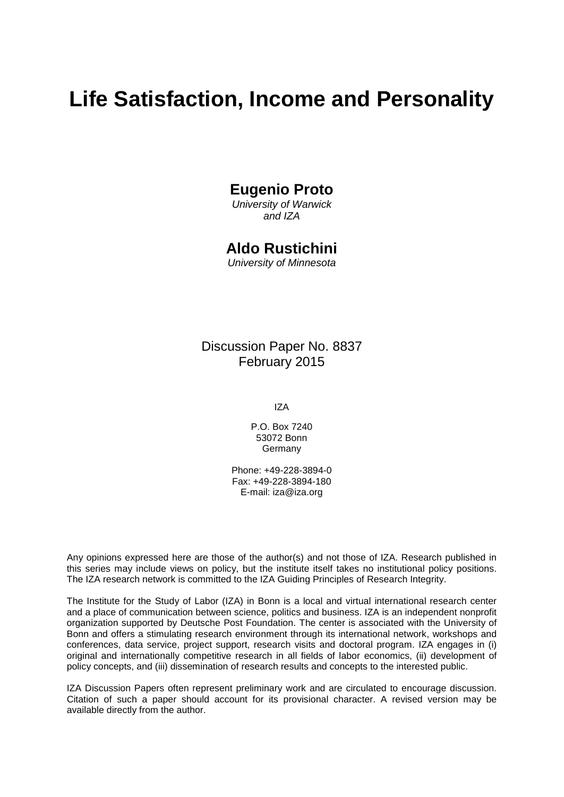# **Life Satisfaction, Income and Personality**

## **Eugenio Proto**

*University of Warwick and IZA*

## **Aldo Rustichini**

*University of Minnesota*

## Discussion Paper No. 8837 February 2015

IZA

P.O. Box 7240 53072 Bonn Germany

Phone: +49-228-3894-0 Fax: +49-228-3894-180 E-mail: [iza@iza.org](mailto:iza@iza.org)

Any opinions expressed here are those of the author(s) and not those of IZA. Research published in this series may include views on policy, but the institute itself takes no institutional policy positions. The IZA research network is committed to the IZA Guiding Principles of Research Integrity.

The Institute for the Study of Labor (IZA) in Bonn is a local and virtual international research center and a place of communication between science, politics and business. IZA is an independent nonprofit organization supported by Deutsche Post Foundation. The center is associated with the University of Bonn and offers a stimulating research environment through its international network, workshops and conferences, data service, project support, research visits and doctoral program. IZA engages in (i) original and internationally competitive research in all fields of labor economics, (ii) development of policy concepts, and (iii) dissemination of research results and concepts to the interested public.

IZA Discussion Papers often represent preliminary work and are circulated to encourage discussion. Citation of such a paper should account for its provisional character. A revised version may be available directly from the author.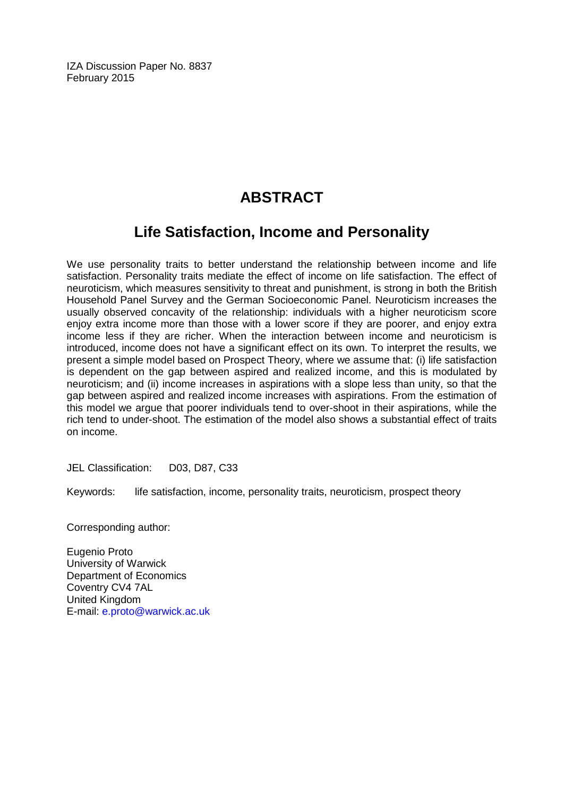IZA Discussion Paper No. 8837 February 2015

## **ABSTRACT**

## **Life Satisfaction, Income and Personality**

We use personality traits to better understand the relationship between income and life satisfaction. Personality traits mediate the effect of income on life satisfaction. The effect of neuroticism, which measures sensitivity to threat and punishment, is strong in both the British Household Panel Survey and the German Socioeconomic Panel. Neuroticism increases the usually observed concavity of the relationship: individuals with a higher neuroticism score enjoy extra income more than those with a lower score if they are poorer, and enjoy extra income less if they are richer. When the interaction between income and neuroticism is introduced, income does not have a significant effect on its own. To interpret the results, we present a simple model based on Prospect Theory, where we assume that: (i) life satisfaction is dependent on the gap between aspired and realized income, and this is modulated by neuroticism; and (ii) income increases in aspirations with a slope less than unity, so that the gap between aspired and realized income increases with aspirations. From the estimation of this model we argue that poorer individuals tend to over-shoot in their aspirations, while the rich tend to under-shoot. The estimation of the model also shows a substantial effect of traits on income.

JEL Classification: D03, D87, C33

Keywords: life satisfaction, income, personality traits, neuroticism, prospect theory

Corresponding author:

Eugenio Proto University of Warwick Department of Economics Coventry CV4 7AL United Kingdom E-mail: [e.proto@warwick.ac.uk](mailto:e.proto@warwick.ac.uk)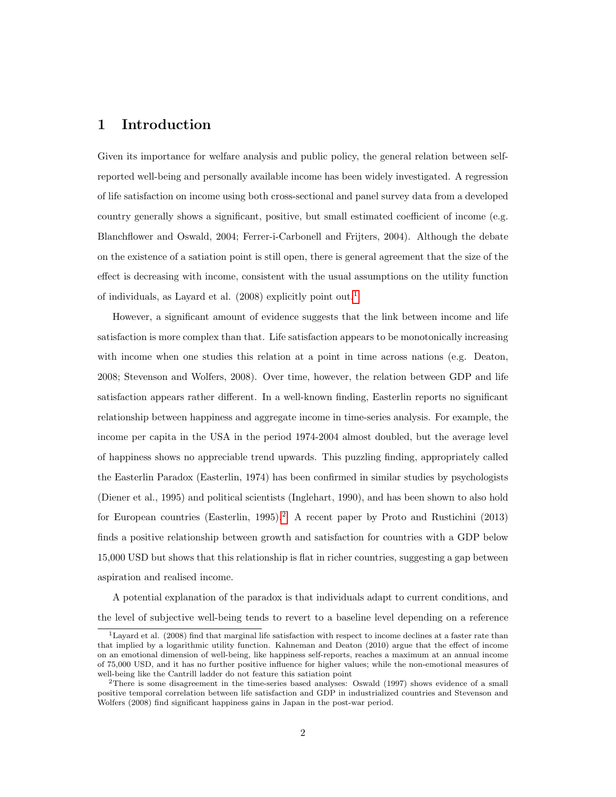### 1 Introduction

Given its importance for welfare analysis and public policy, the general relation between selfreported well-being and personally available income has been widely investigated. A regression of life satisfaction on income using both cross-sectional and panel survey data from a developed country generally shows a significant, positive, but small estimated coefficient of income (e.g. Blanchflower and Oswald, 2004; Ferrer-i-Carbonell and Frijters, 2004). Although the debate on the existence of a satiation point is still open, there is general agreement that the size of the effect is decreasing with income, consistent with the usual assumptions on the utility function of individuals, as Layard et al.  $(2008)$  explicitly point out.<sup>[1](#page-3-0)</sup>

However, a significant amount of evidence suggests that the link between income and life satisfaction is more complex than that. Life satisfaction appears to be monotonically increasing with income when one studies this relation at a point in time across nations (e.g. Deaton, 2008; Stevenson and Wolfers, 2008). Over time, however, the relation between GDP and life satisfaction appears rather different. In a well-known finding, Easterlin reports no significant relationship between happiness and aggregate income in time-series analysis. For example, the income per capita in the USA in the period 1974-2004 almost doubled, but the average level of happiness shows no appreciable trend upwards. This puzzling finding, appropriately called the Easterlin Paradox (Easterlin, 1974) has been confirmed in similar studies by psychologists (Diener et al., 1995) and political scientists (Inglehart, 1990), and has been shown to also hold for European countries (Easterlin, 1995).<sup>[2](#page-3-1)</sup> A recent paper by Proto and Rustichini (2013) finds a positive relationship between growth and satisfaction for countries with a GDP below 15,000 USD but shows that this relationship is flat in richer countries, suggesting a gap between aspiration and realised income.

A potential explanation of the paradox is that individuals adapt to current conditions, and the level of subjective well-being tends to revert to a baseline level depending on a reference

<span id="page-3-0"></span><sup>1</sup>Layard et al. (2008) find that marginal life satisfaction with respect to income declines at a faster rate than that implied by a logarithmic utility function. Kahneman and Deaton (2010) argue that the effect of income on an emotional dimension of well-being, like happiness self-reports, reaches a maximum at an annual income of 75,000 USD, and it has no further positive influence for higher values; while the non-emotional measures of well-being like the Cantrill ladder do not feature this satiation point

<span id="page-3-1"></span><sup>2</sup>There is some disagreement in the time-series based analyses: Oswald (1997) shows evidence of a small positive temporal correlation between life satisfaction and GDP in industrialized countries and Stevenson and Wolfers (2008) find significant happiness gains in Japan in the post-war period.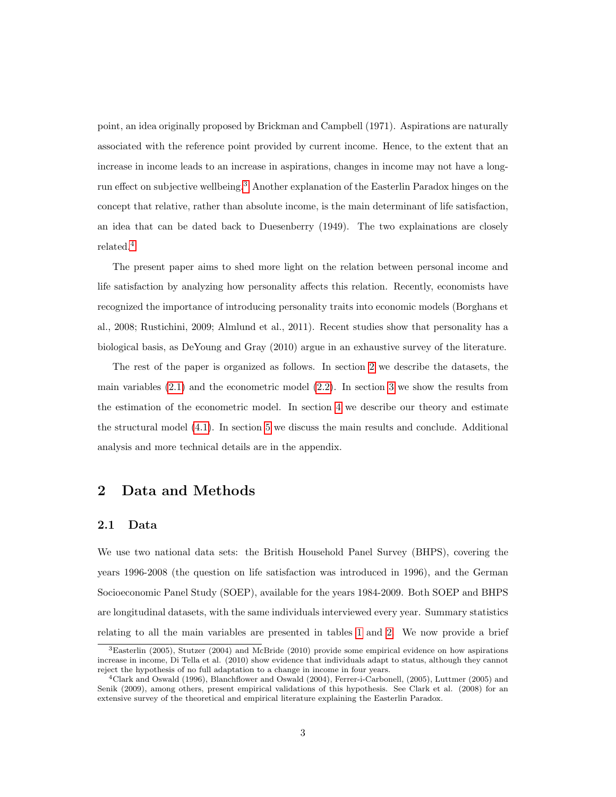point, an idea originally proposed by Brickman and Campbell (1971). Aspirations are naturally associated with the reference point provided by current income. Hence, to the extent that an increase in income leads to an increase in aspirations, changes in income may not have a longrun effect on subjective wellbeing.[3](#page-4-0) Another explanation of the Easterlin Paradox hinges on the concept that relative, rather than absolute income, is the main determinant of life satisfaction, an idea that can be dated back to Duesenberry (1949). The two explainations are closely related.[4](#page-4-1)

The present paper aims to shed more light on the relation between personal income and life satisfaction by analyzing how personality affects this relation. Recently, economists have recognized the importance of introducing personality traits into economic models (Borghans et al., 2008; Rustichini, 2009; Almlund et al., 2011). Recent studies show that personality has a biological basis, as DeYoung and Gray (2010) argue in an exhaustive survey of the literature.

The rest of the paper is organized as follows. In section [2](#page-4-2) we describe the datasets, the main variables  $(2.1)$  and the econometric model  $(2.2)$ . In section [3](#page-8-0) we show the results from the estimation of the econometric model. In section [4](#page-10-0) we describe our theory and estimate the structural model [\(4.1\)](#page-14-0). In section [5](#page-15-0) we discuss the main results and conclude. Additional analysis and more technical details are in the appendix.

### <span id="page-4-2"></span>2 Data and Methods

#### <span id="page-4-3"></span>2.1 Data

We use two national data sets: the British Household Panel Survey (BHPS), covering the years 1996-2008 (the question on life satisfaction was introduced in 1996), and the German Socioeconomic Panel Study (SOEP), available for the years 1984-2009. Both SOEP and BHPS are longitudinal datasets, with the same individuals interviewed every year. Summary statistics relating to all the main variables are presented in tables [1](#page-24-0) and [2.](#page-24-1) We now provide a brief

<span id="page-4-0"></span><sup>3</sup>Easterlin (2005), Stutzer (2004) and McBride (2010) provide some empirical evidence on how aspirations increase in income, Di Tella et al. (2010) show evidence that individuals adapt to status, although they cannot reject the hypothesis of no full adaptation to a change in income in four years.

<span id="page-4-1"></span><sup>4</sup>Clark and Oswald (1996), Blanchflower and Oswald (2004), Ferrer-i-Carbonell, (2005), Luttmer (2005) and Senik (2009), among others, present empirical validations of this hypothesis. See Clark et al. (2008) for an extensive survey of the theoretical and empirical literature explaining the Easterlin Paradox.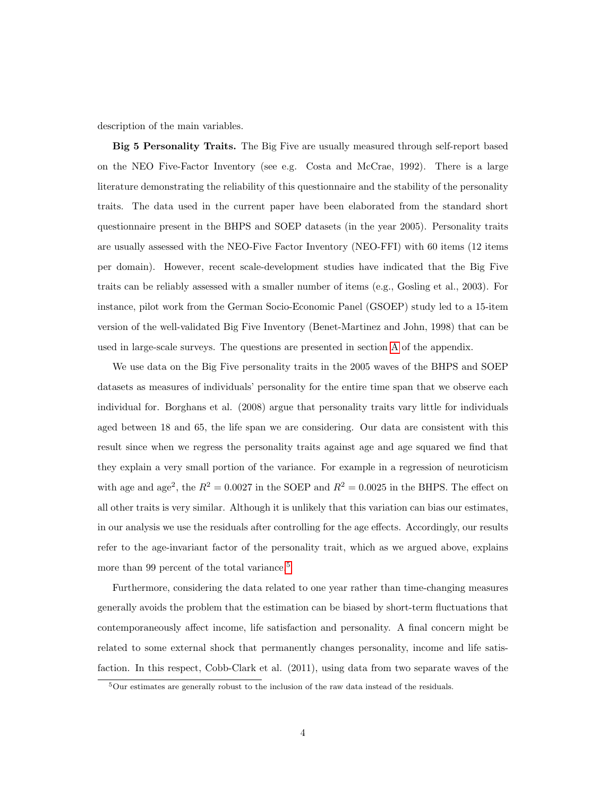description of the main variables.

Big 5 Personality Traits. The Big Five are usually measured through self-report based on the NEO Five-Factor Inventory (see e.g. Costa and McCrae, 1992). There is a large literature demonstrating the reliability of this questionnaire and the stability of the personality traits. The data used in the current paper have been elaborated from the standard short questionnaire present in the BHPS and SOEP datasets (in the year 2005). Personality traits are usually assessed with the NEO-Five Factor Inventory (NEO-FFI) with 60 items (12 items per domain). However, recent scale-development studies have indicated that the Big Five traits can be reliably assessed with a smaller number of items (e.g., Gosling et al., 2003). For instance, pilot work from the German Socio-Economic Panel (GSOEP) study led to a 15-item version of the well-validated Big Five Inventory (Benet-Martinez and John, 1998) that can be used in large-scale surveys. The questions are presented in section [A](#page-32-0) of the appendix.

We use data on the Big Five personality traits in the 2005 waves of the BHPS and SOEP datasets as measures of individuals' personality for the entire time span that we observe each individual for. Borghans et al. (2008) argue that personality traits vary little for individuals aged between 18 and 65, the life span we are considering. Our data are consistent with this result since when we regress the personality traits against age and age squared we find that they explain a very small portion of the variance. For example in a regression of neuroticism with age and age<sup>2</sup>, the  $R^2 = 0.0027$  in the SOEP and  $R^2 = 0.0025$  in the BHPS. The effect on all other traits is very similar. Although it is unlikely that this variation can bias our estimates, in our analysis we use the residuals after controlling for the age effects. Accordingly, our results refer to the age-invariant factor of the personality trait, which as we argued above, explains more than 99 percent of the total variance.<sup>[5](#page-5-0)</sup>

Furthermore, considering the data related to one year rather than time-changing measures generally avoids the problem that the estimation can be biased by short-term fluctuations that contemporaneously affect income, life satisfaction and personality. A final concern might be related to some external shock that permanently changes personality, income and life satisfaction. In this respect, Cobb-Clark et al. (2011), using data from two separate waves of the

<span id="page-5-0"></span> $5$ Our estimates are generally robust to the inclusion of the raw data instead of the residuals.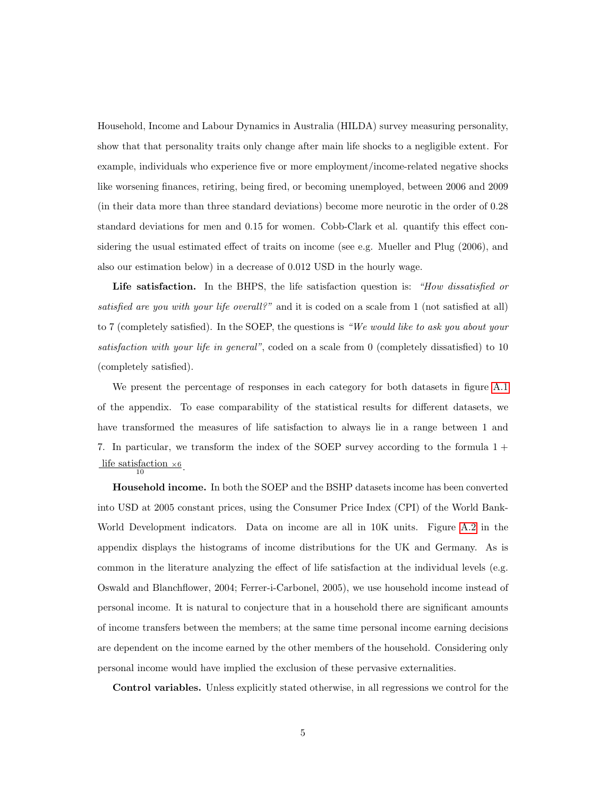Household, Income and Labour Dynamics in Australia (HILDA) survey measuring personality, show that that personality traits only change after main life shocks to a negligible extent. For example, individuals who experience five or more employment/income-related negative shocks like worsening finances, retiring, being fired, or becoming unemployed, between 2006 and 2009 (in their data more than three standard deviations) become more neurotic in the order of 0.28 standard deviations for men and 0.15 for women. Cobb-Clark et al. quantify this effect considering the usual estimated effect of traits on income (see e.g. Mueller and Plug (2006), and also our estimation below) in a decrease of 0.012 USD in the hourly wage.

Life satisfaction. In the BHPS, the life satisfaction question is: "How dissatisfied or satisfied are you with your life overall?" and it is coded on a scale from 1 (not satisfied at all) to 7 (completely satisfied). In the SOEP, the questions is "We would like to ask you about your satisfaction with your life in general", coded on a scale from 0 (completely dissatisfied) to 10 (completely satisfied).

We present the percentage of responses in each category for both datasets in figure [A.1](#page-30-0) of the appendix. To ease comparability of the statistical results for different datasets, we have transformed the measures of life satisfaction to always lie in a range between 1 and 7. In particular, we transform the index of the SOEP survey according to the formula  $1 +$ life satisfaction  $\times 6$ .

Household income. In both the SOEP and the BSHP datasets income has been converted into USD at 2005 constant prices, using the Consumer Price Index (CPI) of the World Bank-World Development indicators. Data on income are all in 10K units. Figure [A.2](#page-31-0) in the appendix displays the histograms of income distributions for the UK and Germany. As is common in the literature analyzing the effect of life satisfaction at the individual levels (e.g. Oswald and Blanchflower, 2004; Ferrer-i-Carbonel, 2005), we use household income instead of personal income. It is natural to conjecture that in a household there are significant amounts of income transfers between the members; at the same time personal income earning decisions are dependent on the income earned by the other members of the household. Considering only personal income would have implied the exclusion of these pervasive externalities.

Control variables. Unless explicitly stated otherwise, in all regressions we control for the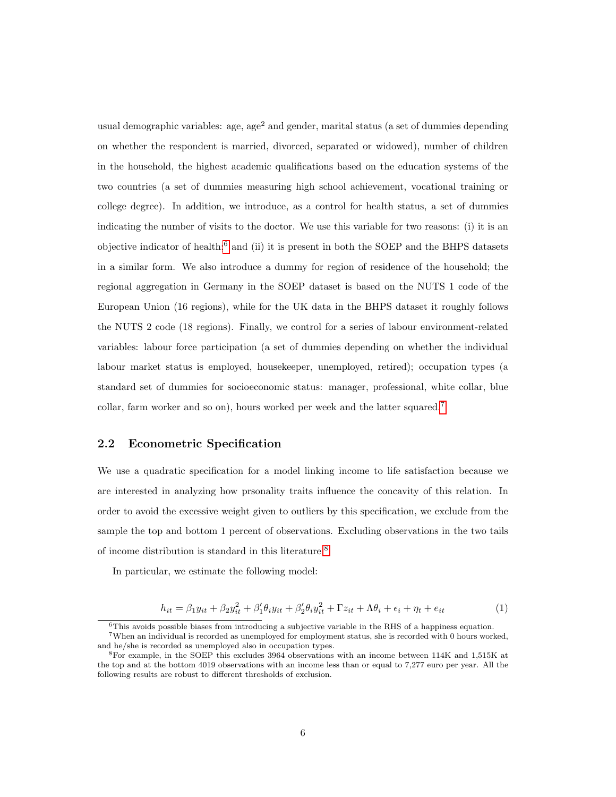usual demographic variables: age, age<sup>2</sup> and gender, marital status (a set of dummies depending on whether the respondent is married, divorced, separated or widowed), number of children in the household, the highest academic qualifications based on the education systems of the two countries (a set of dummies measuring high school achievement, vocational training or college degree). In addition, we introduce, as a control for health status, a set of dummies indicating the number of visits to the doctor. We use this variable for two reasons: (i) it is an objective indicator of health;<sup>[6](#page-7-1)</sup> and (ii) it is present in both the SOEP and the BHPS datasets in a similar form. We also introduce a dummy for region of residence of the household; the regional aggregation in Germany in the SOEP dataset is based on the NUTS 1 code of the European Union (16 regions), while for the UK data in the BHPS dataset it roughly follows the NUTS 2 code (18 regions). Finally, we control for a series of labour environment-related variables: labour force participation (a set of dummies depending on whether the individual labour market status is employed, housekeeper, unemployed, retired); occupation types (a standard set of dummies for socioeconomic status: manager, professional, white collar, blue collar, farm worker and so on), hours worked per week and the latter squared.[7](#page-7-2)

#### <span id="page-7-0"></span>2.2 Econometric Specification

We use a quadratic specification for a model linking income to life satisfaction because we are interested in analyzing how prsonality traits influence the concavity of this relation. In order to avoid the excessive weight given to outliers by this specification, we exclude from the sample the top and bottom 1 percent of observations. Excluding observations in the two tails of income distribution is standard in this literature.[8](#page-7-3)

In particular, we estimate the following model:

<span id="page-7-4"></span>
$$
h_{it} = \beta_1 y_{it} + \beta_2 y_{it}^2 + \beta_1' \theta_i y_{it} + \beta_2' \theta_i y_{it}^2 + \Gamma z_{it} + \Lambda \theta_i + \epsilon_i + \eta_t + \epsilon_{it}
$$
(1)

<span id="page-7-2"></span><span id="page-7-1"></span> $6$ This avoids possible biases from introducing a subjective variable in the RHS of a happiness equation. <sup>7</sup>When an individual is recorded as unemployed for employment status, she is recorded with 0 hours worked, and he/she is recorded as unemployed also in occupation types.

<span id="page-7-3"></span><sup>8</sup>For example, in the SOEP this excludes 3964 observations with an income between 114K and 1,515K at the top and at the bottom 4019 observations with an income less than or equal to 7,277 euro per year. All the following results are robust to different thresholds of exclusion.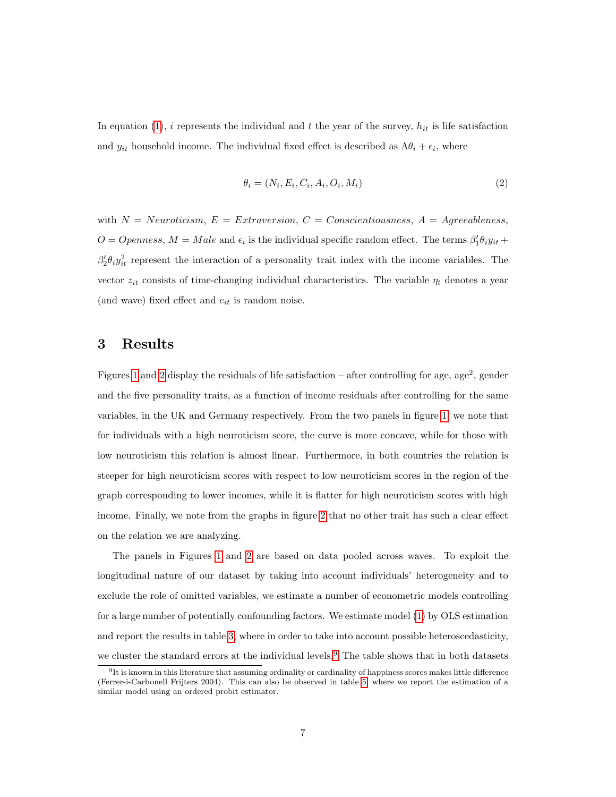In equation [\(1\)](#page-7-4), i represents the individual and t the year of the survey,  $h_{it}$  is life satisfaction and  $y_{it}$  household income. The individual fixed effect is described as  $\Lambda \theta_i + \epsilon_i$ , where

$$
\theta_i = (N_i, E_i, C_i, A_i, O_i, M_i) \tag{2}
$$

with  $N = Neuroticism$ ,  $E = Extraversion$ ,  $C = Conscientiousness$ ,  $A = Agreementes$ ,  $O = Openness$ ,  $M = Male$  and  $\epsilon_i$  is the individual specific random effect. The terms  $\beta'_1 \theta_i y_{it} +$  $\beta'_2 \theta_i y_{it}^2$  represent the interaction of a personality trait index with the income variables. The vector  $z_{it}$  consists of time-changing individual characteristics. The variable  $\eta_t$  denotes a year (and wave) fixed effect and  $e_{it}$  is random noise.

#### <span id="page-8-0"></span>3 Results

Figures [1](#page-30-0) and [2](#page-31-0) display the residuals of life satisfaction – after controlling for age, age<sup>2</sup>, gender and the five personality traits, as a function of income residuals after controlling for the same variables, in the UK and Germany respectively. From the two panels in figure [1,](#page-30-0) we note that for individuals with a high neuroticism score, the curve is more concave, while for those with low neuroticism this relation is almost linear. Furthermore, in both countries the relation is steeper for high neuroticism scores with respect to low neuroticism scores in the region of the graph corresponding to lower incomes, while it is flatter for high neuroticism scores with high income. Finally, we note from the graphs in figure [2](#page-31-0) that no other trait has such a clear effect on the relation we are analyzing.

The panels in Figures [1](#page-30-0) and [2](#page-31-0) are based on data pooled across waves. To exploit the longitudinal nature of our dataset by taking into account individuals' heterogeneity and to exclude the role of omitted variables, we estimate a number of econometric models controlling for a large number of potentially confounding factors. We estimate model [\(1\)](#page-7-4) by OLS estimation and report the results in table [3,](#page-25-0) where in order to take into account possible heteroscedasticity, we cluster the standard errors at the individual levels.<sup>[9](#page-8-1)</sup> The table shows that in both datasets

<span id="page-8-1"></span> $9$ It is known in this literature that assuming ordinality or cardinality of happiness scores makes little difference (Ferrer-i-Carbonell Frijters 2004). This can also be observed in table [5,](#page-27-0) where we report the estimation of a similar model using an ordered probit estimator.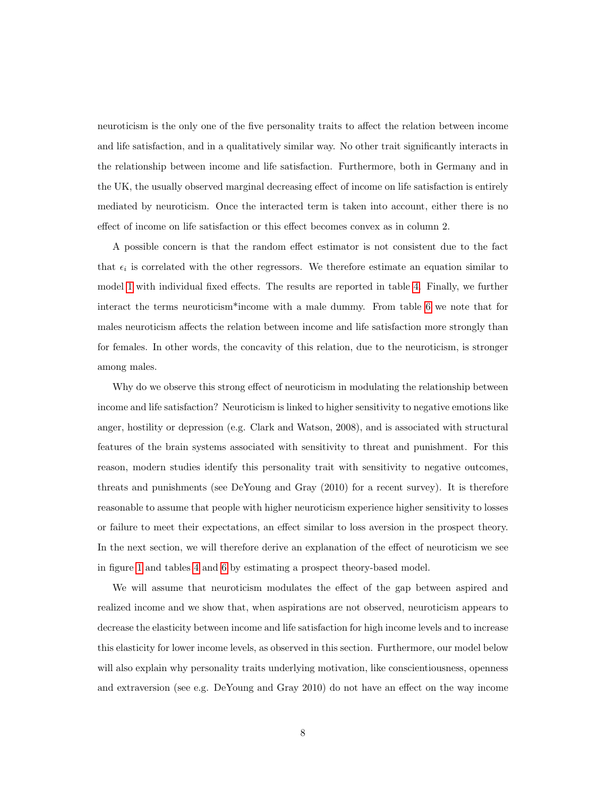neuroticism is the only one of the five personality traits to affect the relation between income and life satisfaction, and in a qualitatively similar way. No other trait significantly interacts in the relationship between income and life satisfaction. Furthermore, both in Germany and in the UK, the usually observed marginal decreasing effect of income on life satisfaction is entirely mediated by neuroticism. Once the interacted term is taken into account, either there is no effect of income on life satisfaction or this effect becomes convex as in column 2.

A possible concern is that the random effect estimator is not consistent due to the fact that  $\epsilon_i$  is correlated with the other regressors. We therefore estimate an equation similar to model [1](#page-7-4) with individual fixed effects. The results are reported in table [4.](#page-26-0) Finally, we further interact the terms neuroticism\*income with a male dummy. From table [6](#page-28-0) we note that for males neuroticism affects the relation between income and life satisfaction more strongly than for females. In other words, the concavity of this relation, due to the neuroticism, is stronger among males.

Why do we observe this strong effect of neuroticism in modulating the relationship between income and life satisfaction? Neuroticism is linked to higher sensitivity to negative emotions like anger, hostility or depression (e.g. Clark and Watson, 2008), and is associated with structural features of the brain systems associated with sensitivity to threat and punishment. For this reason, modern studies identify this personality trait with sensitivity to negative outcomes, threats and punishments (see DeYoung and Gray (2010) for a recent survey). It is therefore reasonable to assume that people with higher neuroticism experience higher sensitivity to losses or failure to meet their expectations, an effect similar to loss aversion in the prospect theory. In the next section, we will therefore derive an explanation of the effect of neuroticism we see in figure [1](#page-30-0) and tables [4](#page-26-0) and [6](#page-28-0) by estimating a prospect theory-based model.

We will assume that neuroticism modulates the effect of the gap between aspired and realized income and we show that, when aspirations are not observed, neuroticism appears to decrease the elasticity between income and life satisfaction for high income levels and to increase this elasticity for lower income levels, as observed in this section. Furthermore, our model below will also explain why personality traits underlying motivation, like conscientiousness, openness and extraversion (see e.g. DeYoung and Gray 2010) do not have an effect on the way income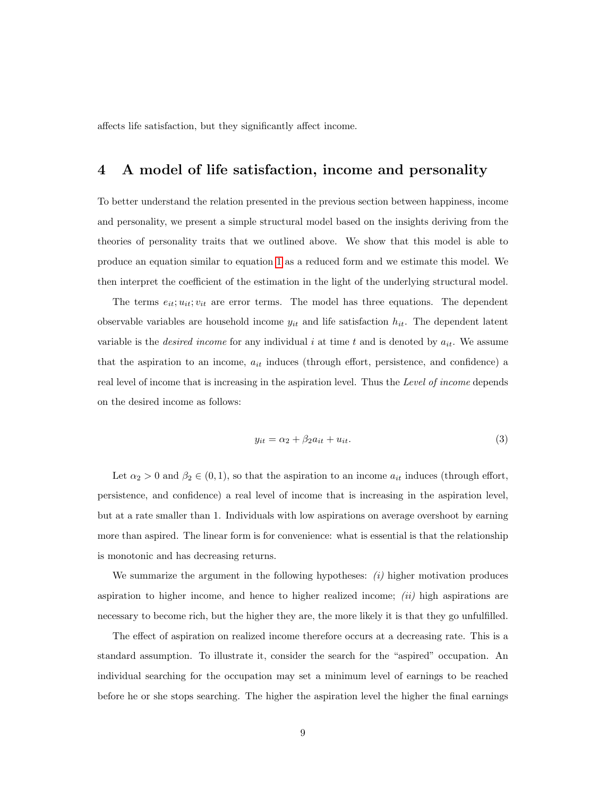affects life satisfaction, but they significantly affect income.

### <span id="page-10-0"></span>4 A model of life satisfaction, income and personality

To better understand the relation presented in the previous section between happiness, income and personality, we present a simple structural model based on the insights deriving from the theories of personality traits that we outlined above. We show that this model is able to produce an equation similar to equation [1](#page-7-4) as a reduced form and we estimate this model. We then interpret the coefficient of the estimation in the light of the underlying structural model.

The terms  $e_{it}$ ;  $u_{it}$ ;  $v_{it}$  are error terms. The model has three equations. The dependent observable variables are household income  $y_{it}$  and life satisfaction  $h_{it}$ . The dependent latent variable is the *desired income* for any individual i at time t and is denoted by  $a_{it}$ . We assume that the aspiration to an income,  $a_{it}$  induces (through effort, persistence, and confidence) a real level of income that is increasing in the aspiration level. Thus the Level of income depends on the desired income as follows:

<span id="page-10-1"></span>
$$
y_{it} = \alpha_2 + \beta_2 a_{it} + u_{it}.\tag{3}
$$

Let  $\alpha_2 > 0$  and  $\beta_2 \in (0,1)$ , so that the aspiration to an income  $a_{it}$  induces (through effort, persistence, and confidence) a real level of income that is increasing in the aspiration level, but at a rate smaller than 1. Individuals with low aspirations on average overshoot by earning more than aspired. The linear form is for convenience: what is essential is that the relationship is monotonic and has decreasing returns.

We summarize the argument in the following hypotheses:  $(i)$  higher motivation produces aspiration to higher income, and hence to higher realized income;  $(ii)$  high aspirations are necessary to become rich, but the higher they are, the more likely it is that they go unfulfilled.

The effect of aspiration on realized income therefore occurs at a decreasing rate. This is a standard assumption. To illustrate it, consider the search for the "aspired" occupation. An individual searching for the occupation may set a minimum level of earnings to be reached before he or she stops searching. The higher the aspiration level the higher the final earnings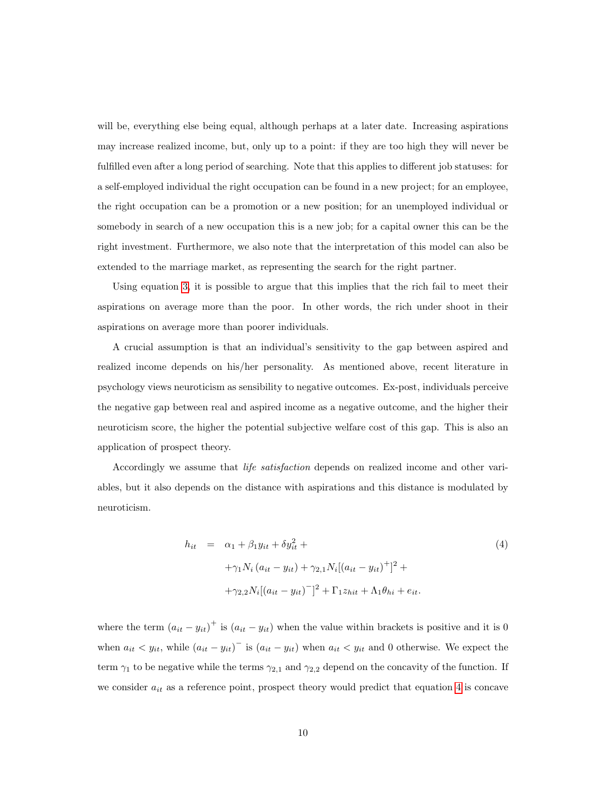will be, everything else being equal, although perhaps at a later date. Increasing aspirations may increase realized income, but, only up to a point: if they are too high they will never be fulfilled even after a long period of searching. Note that this applies to different job statuses: for a self-employed individual the right occupation can be found in a new project; for an employee, the right occupation can be a promotion or a new position; for an unemployed individual or somebody in search of a new occupation this is a new job; for a capital owner this can be the right investment. Furthermore, we also note that the interpretation of this model can also be extended to the marriage market, as representing the search for the right partner.

Using equation [3,](#page-10-1) it is possible to argue that this implies that the rich fail to meet their aspirations on average more than the poor. In other words, the rich under shoot in their aspirations on average more than poorer individuals.

A crucial assumption is that an individual's sensitivity to the gap between aspired and realized income depends on his/her personality. As mentioned above, recent literature in psychology views neuroticism as sensibility to negative outcomes. Ex-post, individuals perceive the negative gap between real and aspired income as a negative outcome, and the higher their neuroticism score, the higher the potential subjective welfare cost of this gap. This is also an application of prospect theory.

Accordingly we assume that life satisfaction depends on realized income and other variables, but it also depends on the distance with aspirations and this distance is modulated by neuroticism.

<span id="page-11-0"></span>
$$
h_{it} = \alpha_1 + \beta_1 y_{it} + \delta y_{it}^2 +
$$
  
+ $\gamma_1 N_i (a_{it} - y_{it}) + \gamma_{2,1} N_i [(a_{it} - y_{it})^+]^2 +$   
+ $\gamma_{2,2} N_i [(a_{it} - y_{it})^-]^2 + \Gamma_1 z_{hit} + \Lambda_1 \theta_{hi} + e_{it}.$  (4)

where the term  $(a_{it} - y_{it})^+$  is  $(a_{it} - y_{it})$  when the value within brackets is positive and it is 0 when  $a_{it} < y_{it}$ , while  $(a_{it} - y_{it})$ <sup>-</sup> is  $(a_{it} - y_{it})$  when  $a_{it} < y_{it}$  and 0 otherwise. We expect the term  $\gamma_1$  to be negative while the terms  $\gamma_{2,1}$  and  $\gamma_{2,2}$  depend on the concavity of the function. If we consider  $a_{it}$  as a reference point, prospect theory would predict that equation [4](#page-11-0) is concave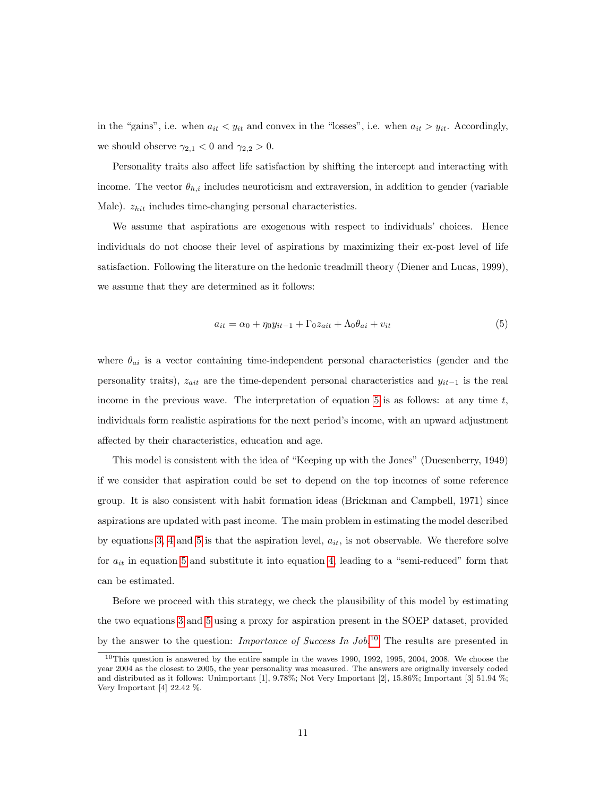in the "gains", i.e. when  $a_{it} < y_{it}$  and convex in the "losses", i.e. when  $a_{it} > y_{it}$ . Accordingly, we should observe  $\gamma_{2,1} < 0$  and  $\gamma_{2,2} > 0$ .

Personality traits also affect life satisfaction by shifting the intercept and interacting with income. The vector  $\theta_{h,i}$  includes neuroticism and extraversion, in addition to gender (variable Male).  $z_{hit}$  includes time-changing personal characteristics.

We assume that aspirations are exogenous with respect to individuals' choices. Hence individuals do not choose their level of aspirations by maximizing their ex-post level of life satisfaction. Following the literature on the hedonic treadmill theory (Diener and Lucas, 1999), we assume that they are determined as it follows:

<span id="page-12-0"></span>
$$
a_{it} = \alpha_0 + \eta_0 y_{it-1} + \Gamma_0 z_{ait} + \Lambda_0 \theta_{ai} + v_{it}
$$
\n
$$
\tag{5}
$$

where  $\theta_{ai}$  is a vector containing time-independent personal characteristics (gender and the personality traits),  $z_{ait}$  are the time-dependent personal characteristics and  $y_{it-1}$  is the real income in the previous wave. The interpretation of equation [5](#page-12-0) is as follows: at any time  $t$ , individuals form realistic aspirations for the next period's income, with an upward adjustment affected by their characteristics, education and age.

This model is consistent with the idea of "Keeping up with the Jones" (Duesenberry, 1949) if we consider that aspiration could be set to depend on the top incomes of some reference group. It is also consistent with habit formation ideas (Brickman and Campbell, 1971) since aspirations are updated with past income. The main problem in estimating the model described by equations [3,](#page-10-1) [4](#page-11-0) and [5](#page-12-0) is that the aspiration level,  $a_{it}$ , is not observable. We therefore solve for  $a_{it}$  in equation [5](#page-12-0) and substitute it into equation [4,](#page-11-0) leading to a "semi-reduced" form that can be estimated.

Before we proceed with this strategy, we check the plausibility of this model by estimating the two equations [3](#page-10-1) and [5](#page-12-0) using a proxy for aspiration present in the SOEP dataset, provided by the answer to the question: *Importance of Success In Job*.<sup>[10](#page-12-1)</sup> The results are presented in

<span id="page-12-1"></span> $10$ This question is answered by the entire sample in the waves 1990, 1992, 1995, 2004, 2008. We choose the year 2004 as the closest to 2005, the year personality was measured. The answers are originally inversely coded and distributed as it follows: Unimportant [1], 9.78%; Not Very Important [2], 15.86%; Important [3] 51.94 %; Very Important [4] 22.42 %.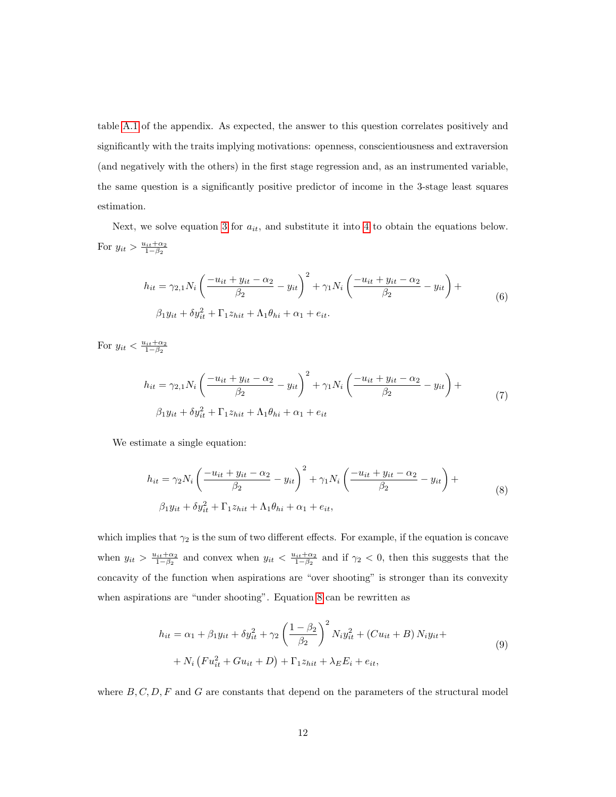table [A.1](#page-24-0) of the appendix. As expected, the answer to this question correlates positively and significantly with the traits implying motivations: openness, conscientiousness and extraversion (and negatively with the others) in the first stage regression and, as an instrumented variable, the same question is a significantly positive predictor of income in the 3-stage least squares estimation.

Next, we solve equation [3](#page-10-1) for  $a_{it}$ , and substitute it into [4](#page-11-0) to obtain the equations below. For  $y_{it} > \frac{u_{it} + \alpha_2}{1 - \beta_2}$ 

$$
h_{it} = \gamma_{2,1} N_i \left( \frac{-u_{it} + y_{it} - \alpha_2}{\beta_2} - y_{it} \right)^2 + \gamma_1 N_i \left( \frac{-u_{it} + y_{it} - \alpha_2}{\beta_2} - y_{it} \right) +
$$
  

$$
\beta_1 y_{it} + \delta y_{it}^2 + \Gamma_1 z_{hit} + \Lambda_1 \theta_{hi} + \alpha_1 + e_{it}.
$$
 (6)

For  $y_{it} < \frac{u_{it} + \alpha_2}{1 - \beta_2}$ 

$$
h_{it} = \gamma_{2,1} N_i \left( \frac{-u_{it} + y_{it} - \alpha_2}{\beta_2} - y_{it} \right)^2 + \gamma_1 N_i \left( \frac{-u_{it} + y_{it} - \alpha_2}{\beta_2} - y_{it} \right) +
$$
  

$$
\beta_1 y_{it} + \delta y_{it}^2 + \Gamma_1 z_{hit} + \Lambda_1 \theta_{hi} + \alpha_1 + e_{it}
$$
 (7)

<span id="page-13-0"></span>We estimate a single equation:

$$
h_{it} = \gamma_2 N_i \left( \frac{-u_{it} + y_{it} - \alpha_2}{\beta_2} - y_{it} \right)^2 + \gamma_1 N_i \left( \frac{-u_{it} + y_{it} - \alpha_2}{\beta_2} - y_{it} \right) +
$$
  

$$
\beta_1 y_{it} + \delta y_{it}^2 + \Gamma_1 z_{hit} + \Lambda_1 \theta_{hi} + \alpha_1 + e_{it},
$$
 (8)

which implies that  $\gamma_2$  is the sum of two different effects. For example, if the equation is concave when  $y_{it} > \frac{u_{it} + \alpha_2}{1-\beta_2}$  and convex when  $y_{it} < \frac{u_{it} + \alpha_2}{1-\beta_2}$  and if  $\gamma_2 < 0$ , then this suggests that the concavity of the function when aspirations are "over shooting" is stronger than its convexity when aspirations are "under shooting". Equation [8](#page-13-0) can be rewritten as

$$
h_{it} = \alpha_1 + \beta_1 y_{it} + \delta y_{it}^2 + \gamma_2 \left(\frac{1 - \beta_2}{\beta_2}\right)^2 N_i y_{it}^2 + (C u_{it} + B) N_i y_{it} +
$$
  
+  $N_i \left(F u_{it}^2 + G u_{it} + D\right) + \Gamma_1 z_{hit} + \lambda_E E_i + e_{it},$  (9)

<span id="page-13-1"></span>where  $B, C, D, F$  and G are constants that depend on the parameters of the structural model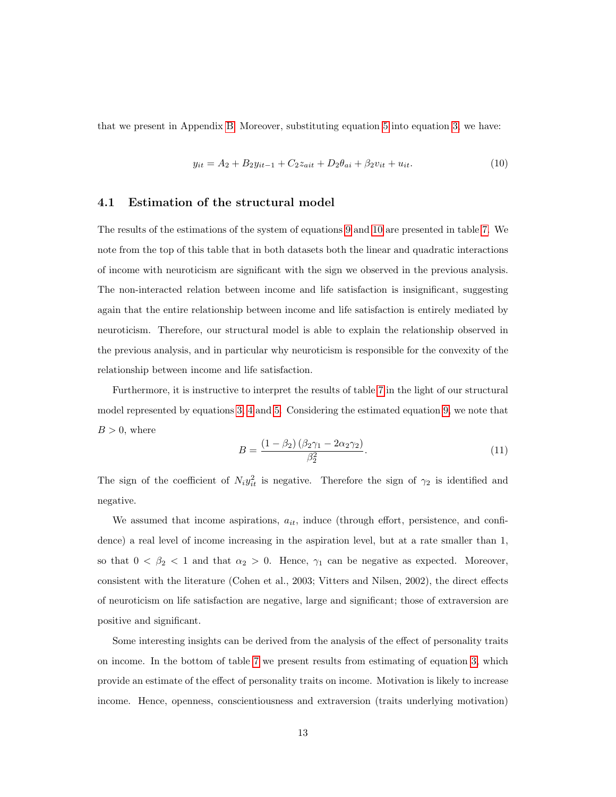that we present in Appendix [B.](#page-32-1) Moreover, substituting equation [5](#page-12-0) into equation [3,](#page-10-1) we have:

<span id="page-14-1"></span>
$$
y_{it} = A_2 + B_2 y_{it-1} + C_2 z_{ait} + D_2 \theta_{ai} + \beta_2 v_{it} + u_{it}.
$$
\n(10)

#### <span id="page-14-0"></span>4.1 Estimation of the structural model

The results of the estimations of the system of equations [9](#page-13-1) and [10](#page-14-1) are presented in table [7.](#page-29-0) We note from the top of this table that in both datasets both the linear and quadratic interactions of income with neuroticism are significant with the sign we observed in the previous analysis. The non-interacted relation between income and life satisfaction is insignificant, suggesting again that the entire relationship between income and life satisfaction is entirely mediated by neuroticism. Therefore, our structural model is able to explain the relationship observed in the previous analysis, and in particular why neuroticism is responsible for the convexity of the relationship between income and life satisfaction.

Furthermore, it is instructive to interpret the results of table [7](#page-29-0) in the light of our structural model represented by equations [3,](#page-10-1) [4](#page-11-0) and [5.](#page-12-0) Considering the estimated equation [9,](#page-13-1) we note that  $B > 0$ , where

$$
B = \frac{\left(1 - \beta_2\right)\left(\beta_2 \gamma_1 - 2\alpha_2 \gamma_2\right)}{\beta_2^2}.\tag{11}
$$

The sign of the coefficient of  $N_i y_{it}^2$  is negative. Therefore the sign of  $\gamma_2$  is identified and negative.

We assumed that income aspirations,  $a_{it}$ , induce (through effort, persistence, and confidence) a real level of income increasing in the aspiration level, but at a rate smaller than 1, so that  $0 < \beta_2 < 1$  and that  $\alpha_2 > 0$ . Hence,  $\gamma_1$  can be negative as expected. Moreover, consistent with the literature (Cohen et al., 2003; Vitters and Nilsen, 2002), the direct effects of neuroticism on life satisfaction are negative, large and significant; those of extraversion are positive and significant.

Some interesting insights can be derived from the analysis of the effect of personality traits on income. In the bottom of table [7](#page-29-0) we present results from estimating of equation [3,](#page-10-1) which provide an estimate of the effect of personality traits on income. Motivation is likely to increase income. Hence, openness, conscientiousness and extraversion (traits underlying motivation)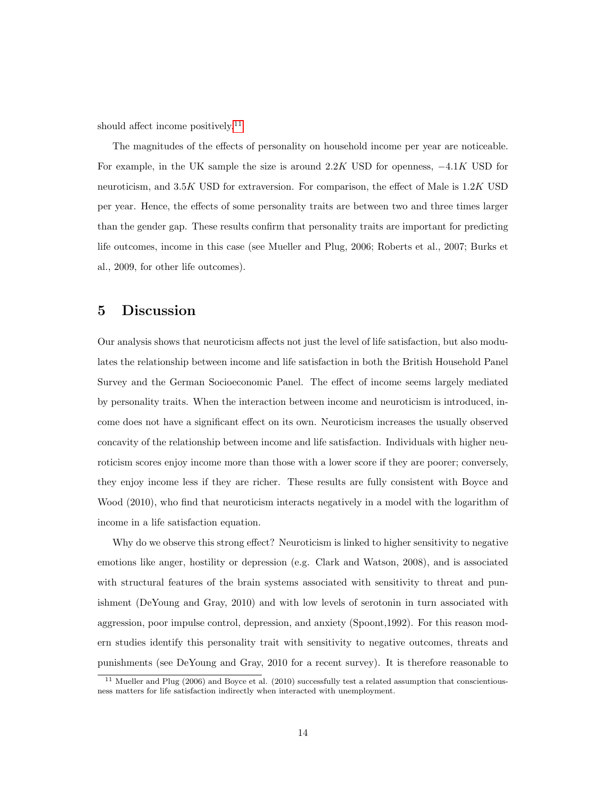should affect income positively.[11](#page-15-1)

The magnitudes of the effects of personality on household income per year are noticeable. For example, in the UK sample the size is around  $2.2K$  USD for openness,  $-4.1K$  USD for neuroticism, and 3.5K USD for extraversion. For comparison, the effect of Male is 1.2K USD per year. Hence, the effects of some personality traits are between two and three times larger than the gender gap. These results confirm that personality traits are important for predicting life outcomes, income in this case (see Mueller and Plug, 2006; Roberts et al., 2007; Burks et al., 2009, for other life outcomes).

#### <span id="page-15-0"></span>5 Discussion

Our analysis shows that neuroticism affects not just the level of life satisfaction, but also modulates the relationship between income and life satisfaction in both the British Household Panel Survey and the German Socioeconomic Panel. The effect of income seems largely mediated by personality traits. When the interaction between income and neuroticism is introduced, income does not have a significant effect on its own. Neuroticism increases the usually observed concavity of the relationship between income and life satisfaction. Individuals with higher neuroticism scores enjoy income more than those with a lower score if they are poorer; conversely, they enjoy income less if they are richer. These results are fully consistent with Boyce and Wood (2010), who find that neuroticism interacts negatively in a model with the logarithm of income in a life satisfaction equation.

Why do we observe this strong effect? Neuroticism is linked to higher sensitivity to negative emotions like anger, hostility or depression (e.g. Clark and Watson, 2008), and is associated with structural features of the brain systems associated with sensitivity to threat and punishment (DeYoung and Gray, 2010) and with low levels of serotonin in turn associated with aggression, poor impulse control, depression, and anxiety (Spoont,1992). For this reason modern studies identify this personality trait with sensitivity to negative outcomes, threats and punishments (see DeYoung and Gray, 2010 for a recent survey). It is therefore reasonable to

<span id="page-15-1"></span><sup>&</sup>lt;sup>11</sup> Mueller and Plug (2006) and Boyce et al. (2010) successfully test a related assumption that conscientiousness matters for life satisfaction indirectly when interacted with unemployment.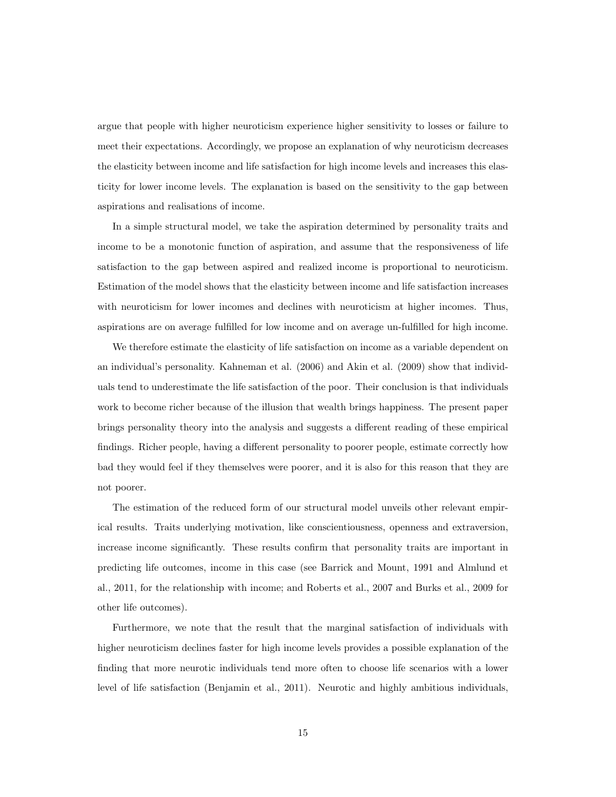argue that people with higher neuroticism experience higher sensitivity to losses or failure to meet their expectations. Accordingly, we propose an explanation of why neuroticism decreases the elasticity between income and life satisfaction for high income levels and increases this elasticity for lower income levels. The explanation is based on the sensitivity to the gap between aspirations and realisations of income.

In a simple structural model, we take the aspiration determined by personality traits and income to be a monotonic function of aspiration, and assume that the responsiveness of life satisfaction to the gap between aspired and realized income is proportional to neuroticism. Estimation of the model shows that the elasticity between income and life satisfaction increases with neuroticism for lower incomes and declines with neuroticism at higher incomes. Thus, aspirations are on average fulfilled for low income and on average un-fulfilled for high income.

We therefore estimate the elasticity of life satisfaction on income as a variable dependent on an individual's personality. Kahneman et al. (2006) and Akin et al. (2009) show that individuals tend to underestimate the life satisfaction of the poor. Their conclusion is that individuals work to become richer because of the illusion that wealth brings happiness. The present paper brings personality theory into the analysis and suggests a different reading of these empirical findings. Richer people, having a different personality to poorer people, estimate correctly how bad they would feel if they themselves were poorer, and it is also for this reason that they are not poorer.

The estimation of the reduced form of our structural model unveils other relevant empirical results. Traits underlying motivation, like conscientiousness, openness and extraversion, increase income significantly. These results confirm that personality traits are important in predicting life outcomes, income in this case (see Barrick and Mount, 1991 and Almlund et al., 2011, for the relationship with income; and Roberts et al., 2007 and Burks et al., 2009 for other life outcomes).

Furthermore, we note that the result that the marginal satisfaction of individuals with higher neuroticism declines faster for high income levels provides a possible explanation of the finding that more neurotic individuals tend more often to choose life scenarios with a lower level of life satisfaction (Benjamin et al., 2011). Neurotic and highly ambitious individuals,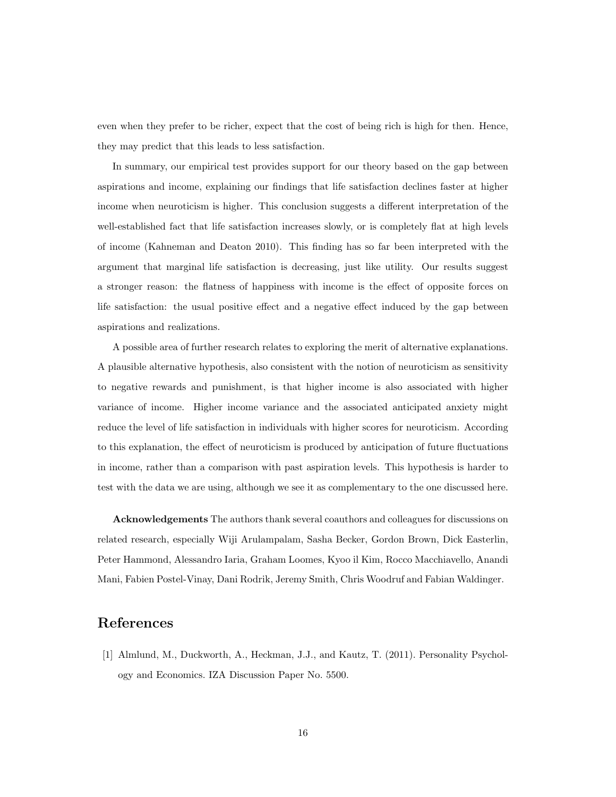even when they prefer to be richer, expect that the cost of being rich is high for then. Hence, they may predict that this leads to less satisfaction.

In summary, our empirical test provides support for our theory based on the gap between aspirations and income, explaining our findings that life satisfaction declines faster at higher income when neuroticism is higher. This conclusion suggests a different interpretation of the well-established fact that life satisfaction increases slowly, or is completely flat at high levels of income (Kahneman and Deaton 2010). This finding has so far been interpreted with the argument that marginal life satisfaction is decreasing, just like utility. Our results suggest a stronger reason: the flatness of happiness with income is the effect of opposite forces on life satisfaction: the usual positive effect and a negative effect induced by the gap between aspirations and realizations.

A possible area of further research relates to exploring the merit of alternative explanations. A plausible alternative hypothesis, also consistent with the notion of neuroticism as sensitivity to negative rewards and punishment, is that higher income is also associated with higher variance of income. Higher income variance and the associated anticipated anxiety might reduce the level of life satisfaction in individuals with higher scores for neuroticism. According to this explanation, the effect of neuroticism is produced by anticipation of future fluctuations in income, rather than a comparison with past aspiration levels. This hypothesis is harder to test with the data we are using, although we see it as complementary to the one discussed here.

Acknowledgements The authors thank several coauthors and colleagues for discussions on related research, especially Wiji Arulampalam, Sasha Becker, Gordon Brown, Dick Easterlin, Peter Hammond, Alessandro Iaria, Graham Loomes, Kyoo il Kim, Rocco Macchiavello, Anandi Mani, Fabien Postel-Vinay, Dani Rodrik, Jeremy Smith, Chris Woodruf and Fabian Waldinger.

### References

[1] Almlund, M., Duckworth, A., Heckman, J.J., and Kautz, T. (2011). Personality Psychology and Economics. IZA Discussion Paper No. 5500.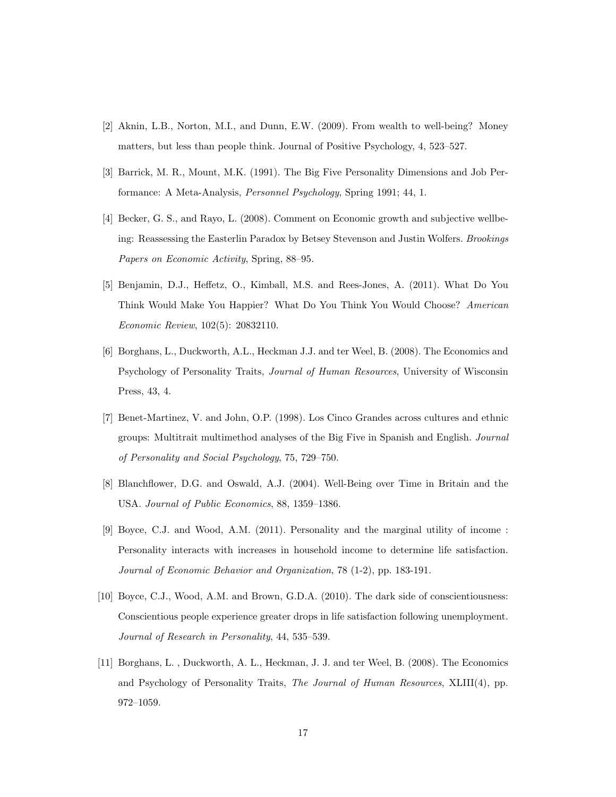- [2] Aknin, L.B., Norton, M.I., and Dunn, E.W. (2009). From wealth to well-being? Money matters, but less than people think. Journal of Positive Psychology, 4, 523–527.
- [3] Barrick, M. R., Mount, M.K. (1991). The Big Five Personality Dimensions and Job Performance: A Meta-Analysis, Personnel Psychology, Spring 1991; 44, 1.
- [4] Becker, G. S., and Rayo, L. (2008). Comment on Economic growth and subjective wellbeing: Reassessing the Easterlin Paradox by Betsey Stevenson and Justin Wolfers. Brookings Papers on Economic Activity, Spring, 88–95.
- [5] Benjamin, D.J., Heffetz, O., Kimball, M.S. and Rees-Jones, A. (2011). What Do You Think Would Make You Happier? What Do You Think You Would Choose? American Economic Review, 102(5): 20832110.
- [6] Borghans, L., Duckworth, A.L., Heckman J.J. and ter Weel, B. (2008). The Economics and Psychology of Personality Traits, Journal of Human Resources, University of Wisconsin Press, 43, 4.
- [7] Benet-Martinez, V. and John, O.P. (1998). Los Cinco Grandes across cultures and ethnic groups: Multitrait multimethod analyses of the Big Five in Spanish and English. Journal of Personality and Social Psychology, 75, 729–750.
- [8] Blanchflower, D.G. and Oswald, A.J. (2004). Well-Being over Time in Britain and the USA. Journal of Public Economics, 88, 1359–1386.
- [9] Boyce, C.J. and Wood, A.M. (2011). Personality and the marginal utility of income : Personality interacts with increases in household income to determine life satisfaction. Journal of Economic Behavior and Organization, 78 (1-2), pp. 183-191.
- [10] Boyce, C.J., Wood, A.M. and Brown, G.D.A. (2010). The dark side of conscientiousness: Conscientious people experience greater drops in life satisfaction following unemployment. Journal of Research in Personality, 44, 535–539.
- [11] Borghans, L. , Duckworth, A. L., Heckman, J. J. and ter Weel, B. (2008). The Economics and Psychology of Personality Traits, The Journal of Human Resources, XLIII(4), pp. 972–1059.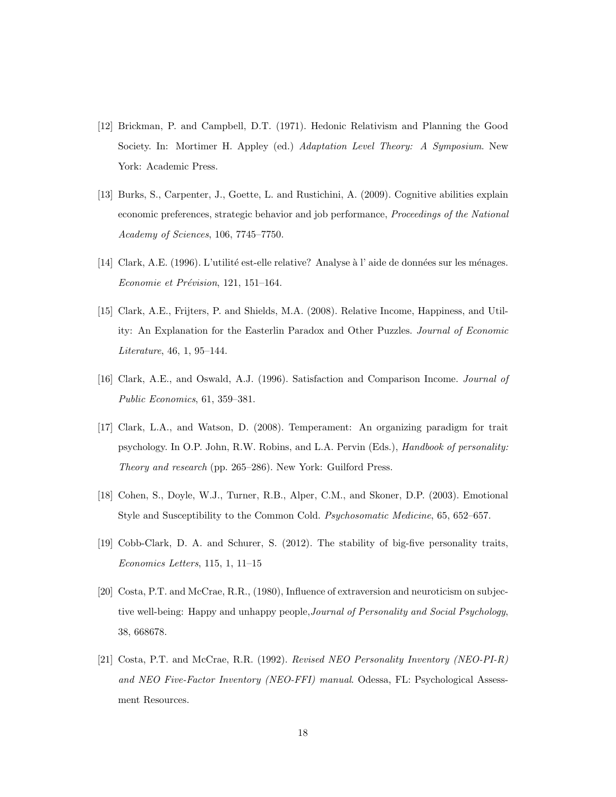- [12] Brickman, P. and Campbell, D.T. (1971). Hedonic Relativism and Planning the Good Society. In: Mortimer H. Appley (ed.) Adaptation Level Theory: A Symposium. New York: Academic Press.
- [13] Burks, S., Carpenter, J., Goette, L. and Rustichini, A. (2009). Cognitive abilities explain economic preferences, strategic behavior and job performance, Proceedings of the National Academy of Sciences, 106, 7745–7750.
- [14] Clark, A.E. (1996). L'utilité est-elle relative? Analyse à l'aide de données sur les ménages. Economie et Prévision, 121, 151-164.
- [15] Clark, A.E., Frijters, P. and Shields, M.A. (2008). Relative Income, Happiness, and Utility: An Explanation for the Easterlin Paradox and Other Puzzles. Journal of Economic Literature, 46, 1, 95–144.
- [16] Clark, A.E., and Oswald, A.J. (1996). Satisfaction and Comparison Income. Journal of Public Economics, 61, 359–381.
- [17] Clark, L.A., and Watson, D. (2008). Temperament: An organizing paradigm for trait psychology. In O.P. John, R.W. Robins, and L.A. Pervin (Eds.), Handbook of personality: Theory and research (pp. 265–286). New York: Guilford Press.
- [18] Cohen, S., Doyle, W.J., Turner, R.B., Alper, C.M., and Skoner, D.P. (2003). Emotional Style and Susceptibility to the Common Cold. Psychosomatic Medicine, 65, 652–657.
- [19] Cobb-Clark, D. A. and Schurer, S. (2012). The stability of big-five personality traits, Economics Letters, 115, 1, 11–15
- [20] Costa, P.T. and McCrae, R.R., (1980), Influence of extraversion and neuroticism on subjective well-being: Happy and unhappy people,Journal of Personality and Social Psychology, 38, 668678.
- [21] Costa, P.T. and McCrae, R.R. (1992). Revised NEO Personality Inventory (NEO-PI-R) and NEO Five-Factor Inventory (NEO-FFI) manual. Odessa, FL: Psychological Assessment Resources.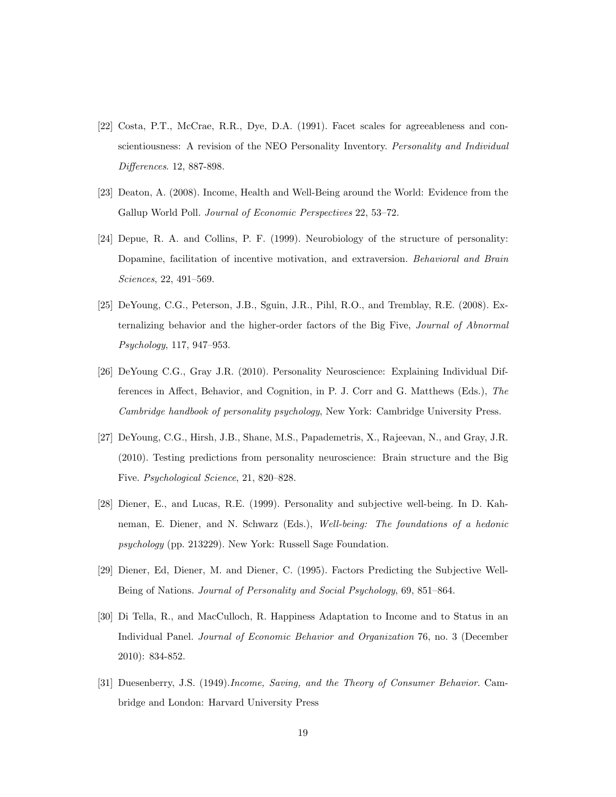- [22] Costa, P.T., McCrae, R.R., Dye, D.A. (1991). Facet scales for agreeableness and conscientiousness: A revision of the NEO Personality Inventory. Personality and Individual Differences. 12, 887-898.
- [23] Deaton, A. (2008). Income, Health and Well-Being around the World: Evidence from the Gallup World Poll. Journal of Economic Perspectives 22, 53–72.
- [24] Depue, R. A. and Collins, P. F. (1999). Neurobiology of the structure of personality: Dopamine, facilitation of incentive motivation, and extraversion. Behavioral and Brain Sciences, 22, 491–569.
- [25] DeYoung, C.G., Peterson, J.B., Sguin, J.R., Pihl, R.O., and Tremblay, R.E. (2008). Externalizing behavior and the higher-order factors of the Big Five, Journal of Abnormal Psychology, 117, 947–953.
- [26] DeYoung C.G., Gray J.R. (2010). Personality Neuroscience: Explaining Individual Differences in Affect, Behavior, and Cognition, in P. J. Corr and G. Matthews (Eds.), The Cambridge handbook of personality psychology, New York: Cambridge University Press.
- [27] DeYoung, C.G., Hirsh, J.B., Shane, M.S., Papademetris, X., Rajeevan, N., and Gray, J.R. (2010). Testing predictions from personality neuroscience: Brain structure and the Big Five. Psychological Science, 21, 820–828.
- [28] Diener, E., and Lucas, R.E. (1999). Personality and subjective well-being. In D. Kahneman, E. Diener, and N. Schwarz (Eds.), Well-being: The foundations of a hedonic psychology (pp. 213229). New York: Russell Sage Foundation.
- [29] Diener, Ed, Diener, M. and Diener, C. (1995). Factors Predicting the Subjective Well-Being of Nations. Journal of Personality and Social Psychology, 69, 851–864.
- [30] Di Tella, R., and MacCulloch, R. Happiness Adaptation to Income and to Status in an Individual Panel. Journal of Economic Behavior and Organization 76, no. 3 (December 2010): 834-852.
- [31] Duesenberry, J.S. (1949).Income, Saving, and the Theory of Consumer Behavior. Cambridge and London: Harvard University Press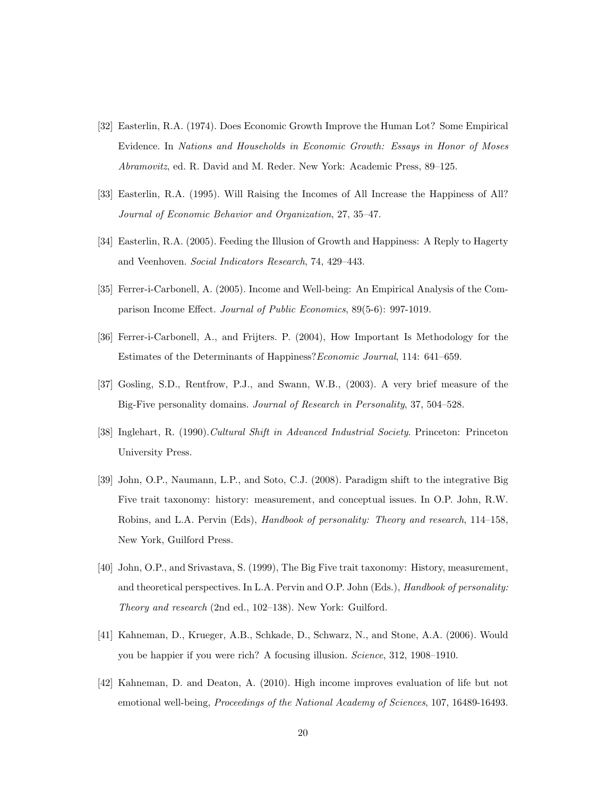- [32] Easterlin, R.A. (1974). Does Economic Growth Improve the Human Lot? Some Empirical Evidence. In Nations and Households in Economic Growth: Essays in Honor of Moses Abramovitz, ed. R. David and M. Reder. New York: Academic Press, 89–125.
- [33] Easterlin, R.A. (1995). Will Raising the Incomes of All Increase the Happiness of All? Journal of Economic Behavior and Organization, 27, 35–47.
- [34] Easterlin, R.A. (2005). Feeding the Illusion of Growth and Happiness: A Reply to Hagerty and Veenhoven. Social Indicators Research, 74, 429–443.
- [35] Ferrer-i-Carbonell, A. (2005). Income and Well-being: An Empirical Analysis of the Comparison Income Effect. Journal of Public Economics, 89(5-6): 997-1019.
- [36] Ferrer-i-Carbonell, A., and Frijters. P. (2004), How Important Is Methodology for the Estimates of the Determinants of Happiness?Economic Journal, 114: 641–659.
- [37] Gosling, S.D., Rentfrow, P.J., and Swann, W.B., (2003). A very brief measure of the Big-Five personality domains. Journal of Research in Personality, 37, 504–528.
- [38] Inglehart, R. (1990).Cultural Shift in Advanced Industrial Society. Princeton: Princeton University Press.
- [39] John, O.P., Naumann, L.P., and Soto, C.J. (2008). Paradigm shift to the integrative Big Five trait taxonomy: history: measurement, and conceptual issues. In O.P. John, R.W. Robins, and L.A. Pervin (Eds), Handbook of personality: Theory and research, 114–158, New York, Guilford Press.
- [40] John, O.P., and Srivastava, S. (1999), The Big Five trait taxonomy: History, measurement, and theoretical perspectives. In L.A. Pervin and O.P. John (Eds.), Handbook of personality: Theory and research (2nd ed., 102–138). New York: Guilford.
- [41] Kahneman, D., Krueger, A.B., Schkade, D., Schwarz, N., and Stone, A.A. (2006). Would you be happier if you were rich? A focusing illusion. Science, 312, 1908–1910.
- [42] Kahneman, D. and Deaton, A. (2010). High income improves evaluation of life but not emotional well-being, Proceedings of the National Academy of Sciences, 107, 16489-16493.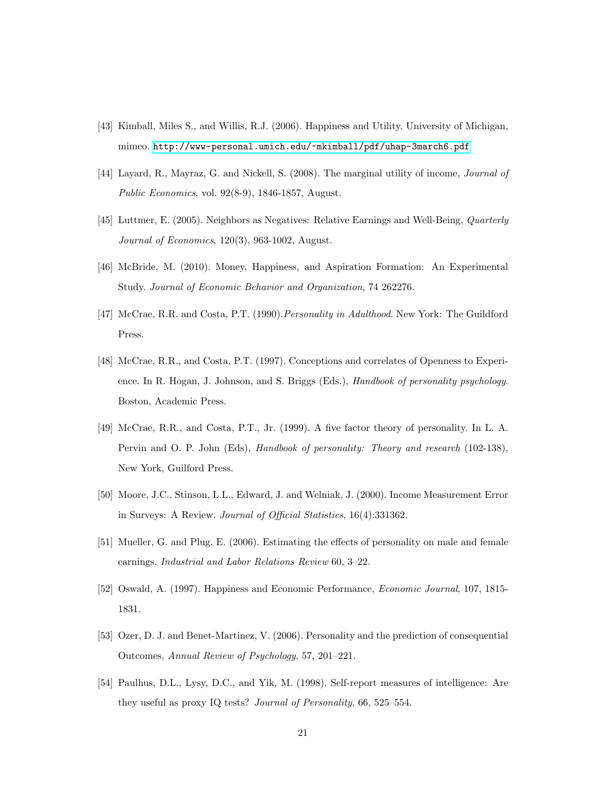- [43] Kimball, Miles S., and Willis, R.J. (2006). Happiness and Utility. University of Michigan, mimeo. <http://www-personal.umich.edu/~mkimball/pdf/uhap-3march6.pdf>
- [44] Layard, R., Mayraz, G. and Nickell, S. (2008). The marginal utility of income, Journal of Public Economics, vol. 92(8-9), 1846-1857, August.
- [45] Luttmer, E. (2005). Neighbors as Negatives: Relative Earnings and Well-Being, Quarterly Journal of Economics, 120(3), 963-1002, August.
- [46] McBride, M. (2010). Money, Happiness, and Aspiration Formation: An Experimental Study. Journal of Economic Behavior and Organization, 74 262276.
- [47] McCrae, R.R. and Costa, P.T. (1990). Personality in Adulthood. New York: The Guildford Press.
- [48] McCrae, R.R., and Costa, P.T. (1997). Conceptions and correlates of Openness to Experience. In R. Hogan, J. Johnson, and S. Briggs (Eds.), Handbook of personality psychology. Boston, Academic Press.
- [49] McCrae, R.R., and Costa, P.T., Jr. (1999). A five factor theory of personality. In L. A. Pervin and O. P. John (Eds), Handbook of personality: Theory and research (102-138), New York, Guilford Press.
- [50] Moore, J.C., Stinson, L.L., Edward, J. and Welniak, J. (2000). Income Measurement Error in Surveys: A Review. Journal of Official Statistics, 16(4):331362.
- [51] Mueller, G. and Plug, E. (2006). Estimating the effects of personality on male and female earnings. Industrial and Labor Relations Review 60, 3–22.
- [52] Oswald, A. (1997). Happiness and Economic Performance, Economic Journal, 107, 1815- 1831.
- [53] Ozer, D. J. and Benet-Martinez, V. (2006). Personality and the prediction of consequential Outcomes, Annual Review of Psychology, 57, 201–221.
- [54] Paulhus, D.L., Lysy, D.C., and Yik, M. (1998). Self-report measures of intelligence: Are they useful as proxy IQ tests? Journal of Personality, 66, 525–554.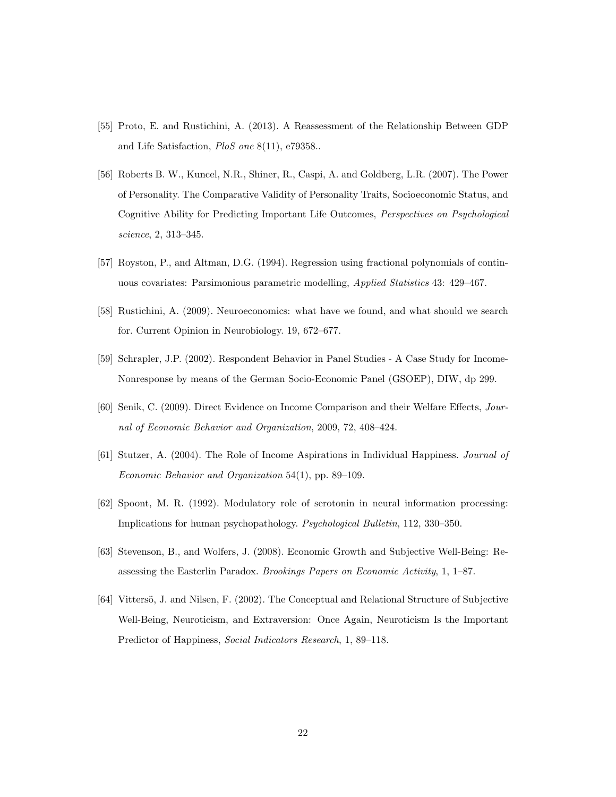- [55] Proto, E. and Rustichini, A. (2013). A Reassessment of the Relationship Between GDP and Life Satisfaction, PloS one 8(11), e79358..
- [56] Roberts B. W., Kuncel, N.R., Shiner, R., Caspi, A. and Goldberg, L.R. (2007). The Power of Personality. The Comparative Validity of Personality Traits, Socioeconomic Status, and Cognitive Ability for Predicting Important Life Outcomes, Perspectives on Psychological science, 2, 313–345.
- [57] Royston, P., and Altman, D.G. (1994). Regression using fractional polynomials of continuous covariates: Parsimonious parametric modelling, Applied Statistics 43: 429–467.
- [58] Rustichini, A. (2009). Neuroeconomics: what have we found, and what should we search for. Current Opinion in Neurobiology. 19, 672–677.
- [59] Schrapler, J.P. (2002). Respondent Behavior in Panel Studies A Case Study for Income-Nonresponse by means of the German Socio-Economic Panel (GSOEP), DIW, dp 299.
- [60] Senik, C. (2009). Direct Evidence on Income Comparison and their Welfare Effects, Journal of Economic Behavior and Organization, 2009, 72, 408–424.
- [61] Stutzer, A. (2004). The Role of Income Aspirations in Individual Happiness. Journal of Economic Behavior and Organization 54(1), pp. 89–109.
- [62] Spoont, M. R. (1992). Modulatory role of serotonin in neural information processing: Implications for human psychopathology. Psychological Bulletin, 112, 330–350.
- [63] Stevenson, B., and Wolfers, J. (2008). Economic Growth and Subjective Well-Being: Reassessing the Easterlin Paradox. Brookings Papers on Economic Activity, 1, 1–87.
- [64] Vittersö, J. and Nilsen, F. (2002). The Conceptual and Relational Structure of Subjective Well-Being, Neuroticism, and Extraversion: Once Again, Neuroticism Is the Important Predictor of Happiness, Social Indicators Research, 1, 89–118.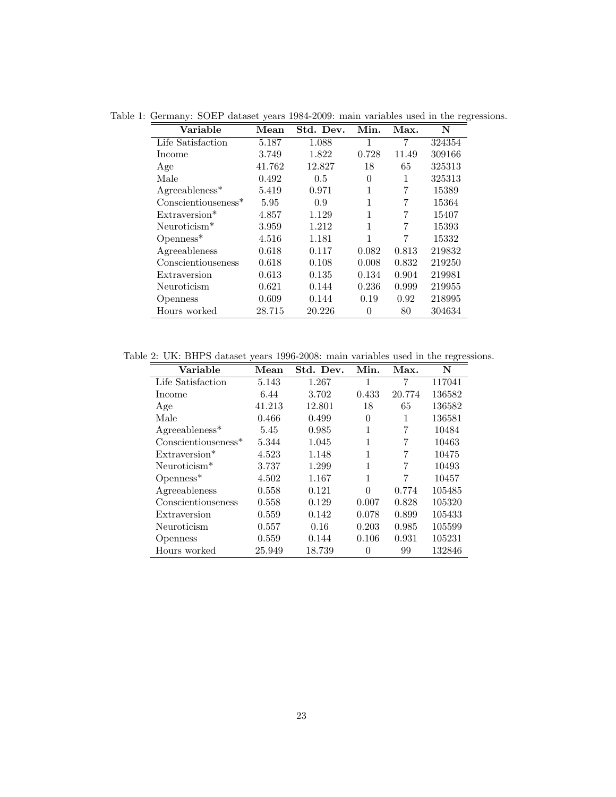<span id="page-24-0"></span>

| Variable                         | Mean   | Std. Dev. | Min.     | Max.  | N      |
|----------------------------------|--------|-----------|----------|-------|--------|
| Life Satisfaction                | 5.187  | 1.088     | 1        | 7     | 324354 |
| Income                           | 3.749  | 1.822     | 0.728    | 11.49 | 309166 |
| Age                              | 41.762 | 12.827    | 18       | 65    | 325313 |
| Male                             | 0.492  | $0.5\,$   | $\theta$ | 1     | 325313 |
| $Agreeableness*$                 | 5.419  | 0.971     | 1        |       | 15389  |
| $Consection$ seness <sup>*</sup> | 5.95   | 0.9       |          | 7     | 15364  |
| Extraversion*                    | 4.857  | 1.129     |          | 7     | 15407  |
| Neuroticism $*$                  | 3.959  | 1.212     | 1        |       | 15393  |
| $Openness*$                      | 4.516  | 1.181     | 1        | 7     | 15332  |
| Agreeableness                    | 0.618  | 0.117     | 0.082    | 0.813 | 219832 |
| Conscientiouseness               | 0.618  | 0.108     | 0.008    | 0.832 | 219250 |
| Extraversion                     | 0.613  | 0.135     | 0.134    | 0.904 | 219981 |
| Neuroticism                      | 0.621  | 0.144     | 0.236    | 0.999 | 219955 |
| <b>Openness</b>                  | 0.609  | 0.144     | 0.19     | 0.92  | 218995 |
| Hours worked                     | 28.715 | 20.226    | 0        | 80    | 304634 |

Table 1: Germany: SOEP dataset years 1984-2009: main variables used in the regressions.

Table 2: UK: BHPS dataset years 1996-2008: main variables used in the regressions.

<span id="page-24-1"></span>

| Variable                 | Mean   | Std. Dev. | Min.     | Max.   | N      |
|--------------------------|--------|-----------|----------|--------|--------|
| Life Satisfaction        | 5.143  | 1.267     | 1        | 7      | 117041 |
| Income                   | 6.44   | 3.702     | 0.433    | 20.774 | 136582 |
| Age                      | 41.213 | 12.801    | 18       | 65     | 136582 |
| Male                     | 0.466  | 0.499     | $\Omega$ | 1      | 136581 |
| $Agreeableness*$         | 5.45   | 0.985     | 1        | 7      | 10484  |
| $Consection$ useness*    | 5.344  | 1.045     | 1        | 7      | 10463  |
| Extraversion*            | 4.523  | 1.148     | 1        | 7      | 10475  |
| Neuroticism <sup>*</sup> | 3.737  | 1.299     | 1        | 7      | 10493  |
| $Openness*$              | 4.502  | 1.167     | 1        | 7      | 10457  |
| Agreeableness            | 0.558  | 0.121     | $\Omega$ | 0.774  | 105485 |
| Conscientiouseness       | 0.558  | 0.129     | 0.007    | 0.828  | 105320 |
| Extraversion             | 0.559  | 0.142     | 0.078    | 0.899  | 105433 |
| Neuroticism              | 0.557  | 0.16      | 0.203    | 0.985  | 105599 |
| <b>Openness</b>          | 0.559  | 0.144     | 0.106    | 0.931  | 105231 |
| Hours worked             | 25.949 | 18.739    | 0        | 99     | 132846 |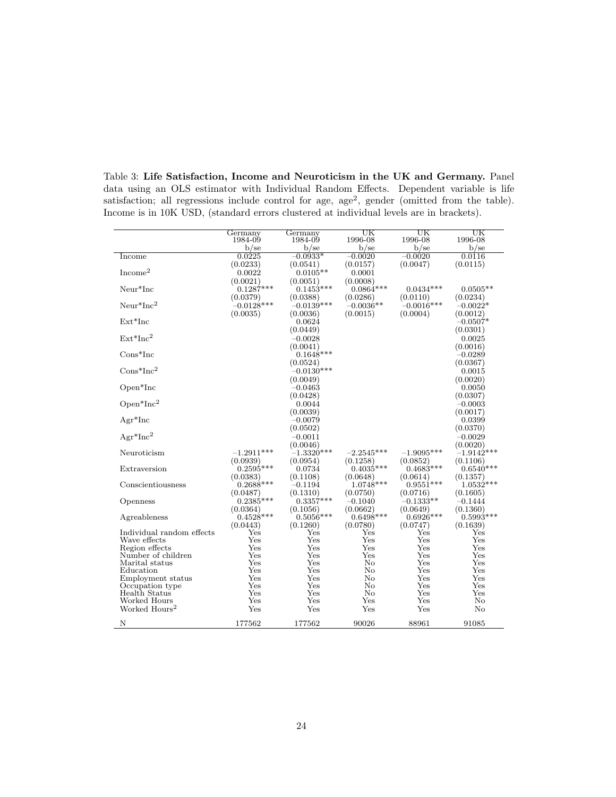|                                  | Germany<br>1984-09      | Germany<br>1984-09       | UK<br>1996-08           | UΚ<br>1996-08           | UΚ<br>1996-08           |
|----------------------------------|-------------------------|--------------------------|-------------------------|-------------------------|-------------------------|
|                                  | $b$ /se                 | $b$ /se                  | $b$ /se                 | $b$ /se                 | $b$ /se                 |
| Income                           | 0.0225                  | $-0.0933*$               | $-0.0020$               | $-0.0020$               | 0.0116                  |
|                                  | (0.0233)                | (0.0541)                 | (0.0157)                | (0.0047)                | (0.0115)                |
| $\mathrm{Income}^2$              | 0.0022                  | $0.0105**$               | 0.0001                  |                         |                         |
|                                  | (0.0021)                | (0.0051)                 | (0.0008)                |                         |                         |
| Neur*Inc                         | $0.1287***$             | $0.1453***$              | $0.0864***$             | $0.0434***$             | $0.0505**$              |
|                                  | (0.0379)                | (0.0388)                 | (0.0286)                | (0.0110)                | (0.0234)                |
| $Neur*Inc^2$                     | $-0.0128***$            | $-0.0139***$             | $-0.0036**$             | $-0.0016***$            | $-0.0022*$              |
|                                  | (0.0035)                | (0.0036)                 | (0.0015)                | (0.0004)                | (0.0012)                |
| $Ext*Inc$                        |                         | 0.0624                   |                         |                         | $-0.0507*$              |
|                                  |                         | (0.0449)                 |                         |                         | (0.0301)                |
| $Ext*Inc2$                       |                         | $-0.0028$                |                         |                         | 0.0025                  |
|                                  |                         | (0.0041)                 |                         |                         | (0.0016)                |
| $Cons*Inc$                       |                         | $0.1648***$              |                         |                         | $-0.0289$               |
| $Cons*Inc^2$                     |                         | (0.0524)<br>$-0.0130***$ |                         |                         | (0.0367)                |
|                                  |                         | (0.0049)                 |                         |                         | 0.0015<br>(0.0020)      |
| Open*Inc                         |                         | $-0.0463$                |                         |                         | 0.0050                  |
|                                  |                         | (0.0428)                 |                         |                         | (0.0307)                |
| $Open*Inc^2$                     |                         | 0.0044                   |                         |                         | $-0.0003$               |
|                                  |                         | (0.0039)                 |                         |                         | (0.0017)                |
| $Agr^*Inc$                       |                         | $-0.0079$                |                         |                         | 0.0399                  |
|                                  |                         | (0.0502)                 |                         |                         | (0.0370)                |
| $Agr^*Inc^2$                     |                         | $-0.0011$                |                         |                         | $-0.0029$               |
|                                  |                         | (0.0046)                 |                         |                         | (0.0020)                |
| Neuroticism                      | $-1.2911***$            | $-1.3320***$             | $-2.2545***$            | $-1.9095***$            | $-1.9142***$            |
|                                  | (0.0939)                | (0.0954)                 | (0.1258)                | (0.0852)                | (0.1106)                |
| Extraversion                     | $0.2595***$             | 0.0734                   | $0.4035***$             | $0.4683***$             | $0.6540***$             |
|                                  | (0.0383)                | (0.1108)                 | (0.0648)                | (0.0614)                | (0.1357)                |
| Conscientiousness                | $0.2688***$             | $-0.1194$                | $1.0748***$             | $0.9551***$             | $1.0532***$             |
|                                  | (0.0487)                | (0.1310)                 | (0.0750)                | (0.0716)                | (0.1605)                |
| Openness                         | $0.2385***$             | $0.3357***$              | $-0.1040$               | $-0.1333**$             | $-0.1444$               |
| Agreableness                     | (0.0364)<br>$0.4528***$ | (0.1056)<br>$0.5056***$  | (0.0662)<br>$0.6498***$ | (0.0649)<br>$0.6926***$ | (0.1360)<br>$0.5993***$ |
|                                  | (0.0443)                | (0.1260)                 | (0.0780)                | (0.0747)                | (0.1639)                |
| Individual random effects        | Yes                     | $_{\rm Yes}$             | Yes                     | Yes                     | Yes                     |
| Wave effects                     | Yes                     | $_{\rm Yes}$             | $_{\rm Yes}$            | $_{\rm Yes}$            | Yes                     |
| Region effects                   | Yes                     | Yes                      | Yes                     | Yes                     | Yes                     |
| Number of children               | Yes                     | Yes                      | Yes                     | Yes                     | Yes                     |
| Marital status                   | $_{\rm Yes}$            | Yes                      | No                      | Yes                     | Yes                     |
| Education                        | Yes                     | Yes                      | No                      | Yes                     | Yes                     |
| Employment status                | Yes<br>Yes              | Yes<br>Yes               | No<br>No                | Yes<br>Yes              | Yes<br>Yes              |
| Occupation type<br>Health Status | Yes                     | Yes                      | No                      | Yes                     | $_{\rm Yes}$            |
| Worked Hours                     | Yes                     | Yes                      | Yes                     | Yes                     | No                      |
| Worked Hours <sup>2</sup>        | Yes                     | Yes                      | Yes                     | Yes                     | No                      |
| N                                | 177562                  | 177562                   | 90026                   | 88961                   | 91085                   |

<span id="page-25-0"></span>Table 3: Life Satisfaction, Income and Neuroticism in the UK and Germany. Panel data using an OLS estimator with Individual Random Effects. Dependent variable is life satisfaction; all regressions include control for age,  $age^2$ , gender (omitted from the table). Income is in 10K USD, (standard errors clustered at individual levels are in brackets).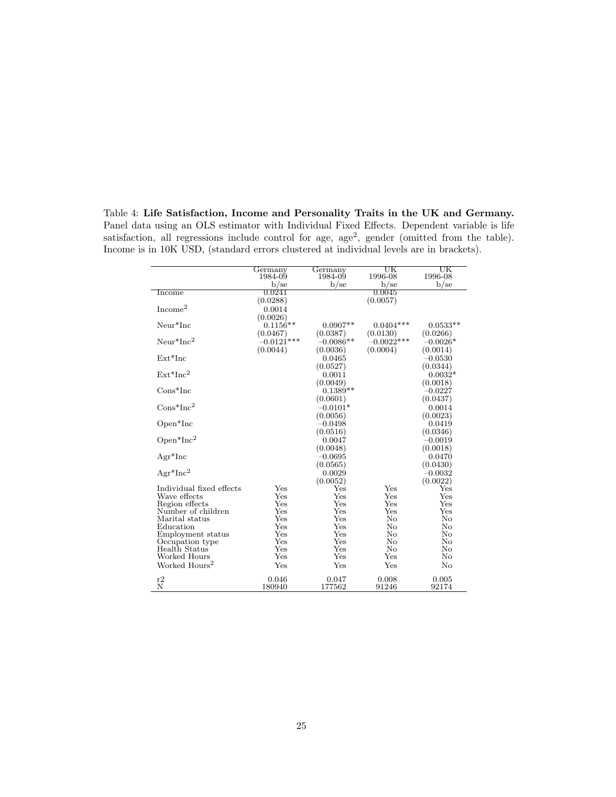Panel data using an OLS estimator with Individual Fixed Effects. Dependent variable is life satisfaction, all regressions include control for age,  $age^2$ , gender (omitted from the table). Income is in 10K USD, (standard errors clustered at individual levels are in brackets).

<span id="page-26-0"></span>Table 4: Life Satisfaction, Income and Personality Traits in the UK and Germany.

|                                      | Germany      | Germany     | UK           | UK                  |
|--------------------------------------|--------------|-------------|--------------|---------------------|
|                                      | 1984-09      | 1984-09     | 1996-08      | 1996-08             |
|                                      | $b$ /se      | $b$ /se     | $b$ /se      | $b$ /se             |
| Income                               | 0.0241       |             | 0.0045       |                     |
|                                      | (0.0288)     |             | (0.0057)     |                     |
| Income <sup>2</sup>                  | 0.0014       |             |              |                     |
|                                      | (0.0026)     |             |              |                     |
| Neur*Inc                             | $0.1156**$   | $0.0907**$  | $0.0404***$  | $0.0533**$          |
|                                      | (0.0467)     | (0.0387)    | (0.0130)     | (0.0266)            |
| $Neur*Inc2$                          | $-0.0121***$ | $-0.0086**$ | $-0.0022***$ | $-0.0026*$          |
|                                      | (0.0044)     | (0.0036)    | (0.0004)     | (0.0014)            |
| $Ext*Inc$                            |              | 0.0465      |              | $-0.0530$           |
|                                      |              | (0.0527)    |              | (0.0344)            |
| $Ext*Inc2$                           |              | 0.0011      |              | $0.0032*$           |
|                                      |              | (0.0049)    |              | (0.0018)            |
| $Cons*Inc$                           |              | $0.1389**$  |              | $-0.0227$           |
|                                      |              | (0.0601)    |              | (0.0437)            |
| $Cons*Inc^2$                         |              | $-0.0101*$  |              | 0.0014              |
|                                      |              | (0.0056)    |              | (0.0023)            |
| $Open*Inc$                           |              | $-0.0498$   |              | 0.0419              |
|                                      |              | (0.0516)    |              | (0.0346)            |
| $Open*Inc^2$                         |              | 0.0047      |              | $-0.0019$           |
|                                      |              | (0.0048)    |              |                     |
|                                      |              |             |              | (0.0018)            |
| $Agr^*Inc$                           |              | $-0.0695$   |              | 0.0470              |
|                                      |              | (0.0565)    |              | (0.0430)            |
| $Agr^*Inc^2$                         |              | 0.0029      |              | $-0.0032$           |
|                                      |              | (0.0052)    |              | (0.0022)            |
| Individual fixed effects             | Yes          | Yes<br>Yes  | Yes          | $_{\rm Yes}$<br>Yes |
| Wave effects                         | Yes<br>Yes   | Yes         | Yes<br>Yes   | Yes                 |
| Region effects<br>Number of children | Yes          | Yes         | Yes          | Yes                 |
| Marital status                       | Yes          | Yes         | No           | $\rm No$            |
| Education                            | Yes          | Yes         | No           | $\rm No$            |
| Employment status                    | $_{\rm Yes}$ | Yes         | No           | No                  |
| Occupation type                      | Yes          | Yes         | No           | No                  |
| Health Status                        | Yes          | Yes         | No           | No                  |
| Worked Hours                         | Yes          | Yes         | $_{\rm Yes}$ | $\rm No$            |
| Worked Hours <sup>2</sup>            | Yes          | Yes         | Yes          | No                  |
| r2                                   | 0.046        | 0.047       | 0.008        | 0.005               |
| N                                    | 180940       | 177562      | 91246        | 92174               |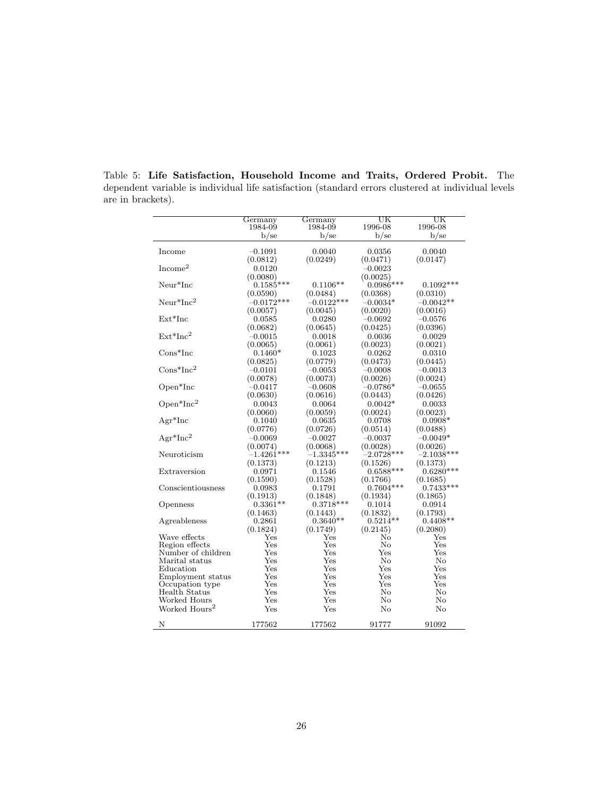|                           | Germany      | Germany      | UΚ           | UΚ           |
|---------------------------|--------------|--------------|--------------|--------------|
|                           | 1984-09      | 1984-09      | 1996-08      | 1996-08      |
|                           | $b$ /se      | $b$ /se      | $b$ /se      | $b$ /se      |
|                           |              |              |              |              |
| Income                    | $-0.1091$    | 0.0040       | 0.0356       | 0.0040       |
|                           | (0.0812)     | (0.0249)     | (0.0471)     | (0.0147)     |
| Income <sup>2</sup>       | 0.0120       |              | $-0.0023$    |              |
|                           | (0.0080)     |              | (0.0025)     |              |
| $Neur*Inc$                | $0.1585***$  | $0.1106**$   | $0.0986***$  | $0.1092***$  |
|                           | (0.0590)     | (0.0484)     | (0.0368)     | (0.0310)     |
| ${\rm Neur}^*{\rm Inc}^2$ | $-0.0172***$ | $-0.0122***$ | $-0.0034*$   | $-0.0042**$  |
|                           | (0.0057)     | (0.0045)     | (0.0020)     | (0.0016)     |
| $Ext*Inc$                 | 0.0585       | 0.0280       | $-0.0692$    | $-0.0576$    |
|                           | (0.0682)     | (0.0645)     | (0.0425)     | (0.0396)     |
| $Ext*Inc2$                | $-0.0015$    | 0.0018       | 0.0036       | 0.0029       |
|                           | (0.0065)     | (0.0061)     | (0.0023)     | (0.0021)     |
| $Cons*Inc$                | $0.1460*$    | 0.1023       | 0.0262       | 0.0310       |
|                           | (0.0825)     | (0.0779)     | (0.0473)     | (0.0445)     |
| $Cons*Inc^2$              | $-0.0101$    | $-0.0053$    | $-0.0008$    | $-0.0013$    |
|                           | (0.0078)     | (0.0073)     | (0.0026)     | (0.0024)     |
| $Open*Inc$                | $-0.0417$    | $-0.0608$    | $-0.0786^*$  | $-0.0655$    |
|                           | (0.0630)     | (0.0616)     | (0.0443)     | (0.0426)     |
| $Open*Inc^2$              | 0.0043       | 0.0064       | $0.0042*$    | 0.0033       |
|                           | (0.0060)     | (0.0059)     | (0.0024)     | (0.0023)     |
| $Agr^*Inc$                | 0.1040       | 0.0635       | 0.0708       | $0.0908*$    |
|                           | (0.0776)     | (0.0726)     | (0.0514)     | (0.0488)     |
| $Agr^*Inc^2$              | $-0.0069$    | $-0.0027$    | $-0.0037$    | $-0.0049*$   |
|                           | (0.0074)     | (0.0068)     | (0.0028)     | (0.0026)     |
| Neuroticism               | $-1.4261***$ | $-1.3345***$ | $-2.0728***$ | $-2.1038***$ |
|                           | (0.1373)     | (0.1213)     | (0.1526)     | (0.1373)     |
| Extraversion              | ${0.0971}$   | 0.1546       | $0.6588***$  | $0.6280***$  |
|                           | (0.1590)     | (0.1528)     | (0.1766)     | (0.1685)     |
| Conscientiousness         | 0.0983       | 0.1791       | $0.7604***$  | $0.7433***$  |
|                           | (0.1913)     | (0.1848)     | (0.1934)     | (0.1865)     |
| Openness                  | $0.3361**$   | $0.3718***$  | 0.1014       | 0.0914       |
|                           | (0.1463)     | (0.1443)     | (0.1832)     | (0.1793)     |
| Agreableness              | $_{0.2861}$  | $0.3640**$   | $0.5214**$   | $0.4408**$   |
|                           | (0.1824)     | (0.1749)     | (0.2145)     | (0.2080)     |
| Wave effects              | $_{\rm Yes}$ | $_{\rm Yes}$ | No           | $_{\rm Yes}$ |
| Region effects            | Yes          | Yes          | No           | Yes          |
| Number of children        | Yes          | $_{\rm Yes}$ | $_{\rm Yes}$ | $_{\rm Yes}$ |
| Marital status            | $_{\rm Yes}$ | $_{\rm Yes}$ | No           | No           |
| Education                 | Yes          | Yes          | Yes          | Yes          |
| Employment status         | Yes          | Yes          | Yes          | Yes          |
| Occupation type           | Yes          | Yes          | Yes          | Yes          |
| Health Status             | $_{\rm Yes}$ | $_{\rm Yes}$ | No           | No           |
| Worked Hours              | $_{\rm Yes}$ | $_{\rm Yes}$ | No           | No           |
| Worked Hours <sup>2</sup> | Yes          | Yes          | $\rm No$     | $\rm No$     |
| Ν                         | 177562       |              |              | 91092        |
|                           |              | 177562       | 91777        |              |

<span id="page-27-0"></span>Table 5: Life Satisfaction, Household Income and Traits, Ordered Probit. The dependent variable is individual life satisfaction (standard errors clustered at individual levels are in brackets).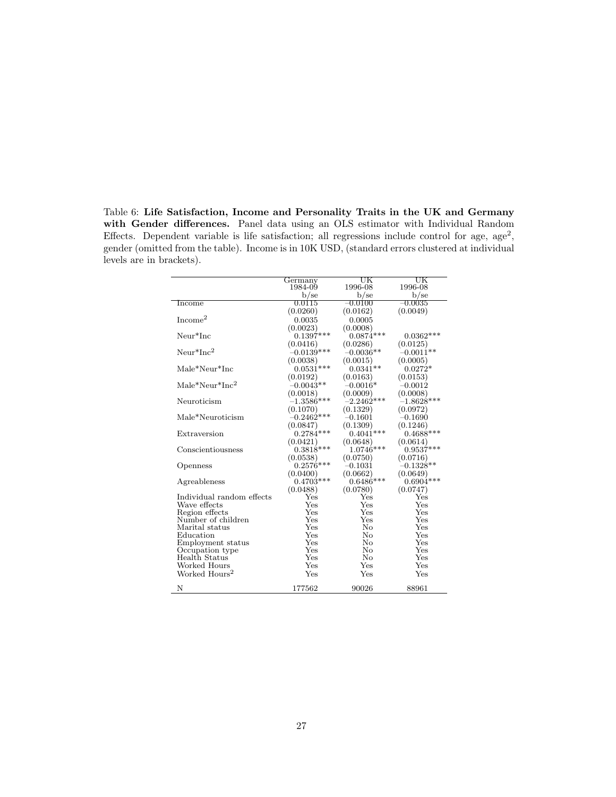<span id="page-28-0"></span>Table 6: Life Satisfaction, Income and Personality Traits in the UK and Germany with Gender differences. Panel data using an OLS estimator with Individual Random Effects. Dependent variable is life satisfaction; all regressions include control for age,  $age^2$ , gender (omitted from the table). Income is in 10K USD, (standard errors clustered at individual levels are in brackets).

|                                          | Germany      | UK           | UK           |
|------------------------------------------|--------------|--------------|--------------|
|                                          | 1984-09      | 1996-08      | 1996-08      |
|                                          | $b$ /se      | $b$ /se      | $b$ /se      |
| Income                                   | 0.0115       | $-0.0100$    | $-0.0035$    |
|                                          | (0.0260)     | (0.0162)     | (0.0049)     |
| Income <sup>2</sup>                      | 0.0035       | 0.0005       |              |
|                                          | (0.0023)     | (0.0008)     |              |
| Neur*Inc                                 | $0.1397***$  | $0.0874***$  | $0.0362***$  |
|                                          | (0.0416)     | (0.0286)     | (0.0125)     |
| $Neur*Inc2$                              | $-0.0139***$ | $-0.0036**$  | $-0.0011**$  |
|                                          | (0.0038)     | (0.0015)     | (0.0005)     |
| Male*Neur*Inc                            | $0.0531***$  | $0.0341**$   | $0.0272*$    |
|                                          | (0.0192)     | (0.0163)     | (0.0153)     |
| $\text{Male*} \text{Neur*} \text{Inc}^2$ | $-0.0043**$  | $-0.0016*$   | $-0.0012$    |
|                                          | (0.0018)     | (0.0009)     | (0.0008)     |
| Neuroticism                              | $-1.3586***$ | $-2.2462***$ | $-1.8628***$ |
|                                          | (0.1070)     | (0.1329)     | (0.0972)     |
| Male*Neuroticism                         | $-0.2462***$ | $-0.1601$    | $-0.1690$    |
|                                          | (0.0847)     | (0.1309)     | (0.1246)     |
| Extraversion                             | $0.2784***$  | $0.4041***$  | $0.4688***$  |
|                                          | (0.0421)     | (0.0648)     | (0.0614)     |
| Conscientiousness                        | $0.3818***$  | 1.0746***    | $0.9537***$  |
|                                          | (0.0538)     | (0.0750)     | (0.0716)     |
| Openness                                 | $0.2576***$  | $-0.1031$    | $-0.1328**$  |
|                                          | (0.0400)     | (0.0662)     | (0.0649)     |
| Agreableness                             | $0.4703***$  | $0.6486***$  | $0.6904***$  |
|                                          | (0.0488)     | (0.0780)     | (0.0747)     |
| Individual random effects                | Yes          | Yes          | Yes          |
| Wave effects                             | Yes          | Yes          | Yes          |
| Region effects                           | $_{\rm Yes}$ | Yes          | Yes          |
| Number of children                       | Yes          | Yes          | Yes          |
| Marital status                           | Yes          | No<br>No     | Yes<br>Yes   |
| Education                                | Yes<br>Yes   | No           | $_{\rm Yes}$ |
| Employment status<br>Occupation type     | $_{\rm Yes}$ | No           | Yes          |
| Health Status                            | $_{\rm Yes}$ | No           | Yes          |
| Worked Hours                             | $_{\rm Yes}$ | Yes          | Yes          |
| Worked Hours <sup>2</sup>                | Yes          | Yes          | Yes          |
|                                          |              |              |              |
| N                                        | 177562       | 90026        | 88961        |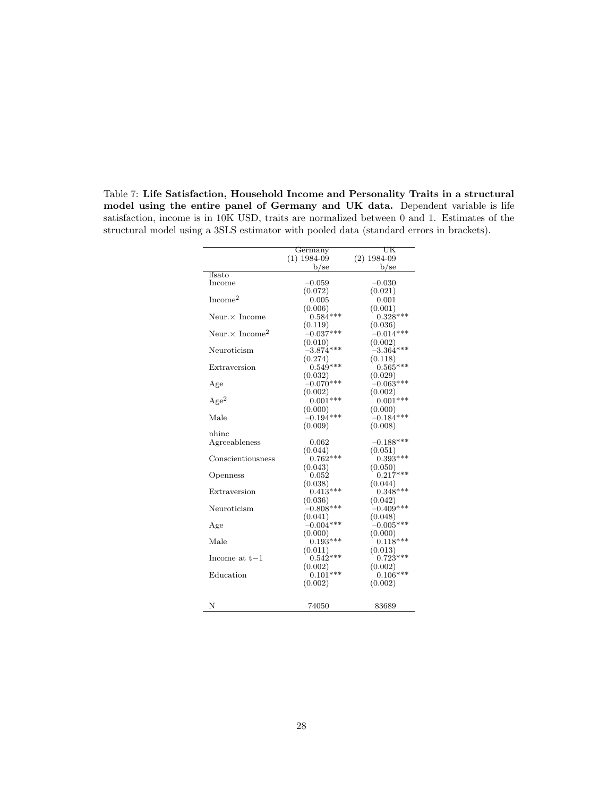|                                    | Germany       | UK            |
|------------------------------------|---------------|---------------|
|                                    | $(1)$ 1984-09 | $(2)$ 1984-09 |
|                                    | $_{\rm b/se}$ | $b$ /se       |
| lfsato                             |               |               |
| Income                             | $-0.059$      | $-0.030$      |
|                                    | (0.072)       | (0.021)       |
| Income <sup>2</sup>                | 0.005         | 0.001         |
|                                    | (0.006)       | (0.001)       |
| $Neur \times Income$               | $0.584***$    | $0.328***$    |
|                                    | (0.119)       | (0.036)       |
| Neur. $\times$ Income <sup>2</sup> | $-0.037***$   | $-0.014***$   |
|                                    | (0.010)       | (0.002)       |
| Neuroticism                        | $-3.874***$   | $-3.364***$   |
|                                    | (0.274)       | (0.118)       |
| Extraversion                       | $0.549***$    | $0.565***$    |
|                                    | (0.032)       | (0.029)       |
| Age                                | $-0.070***$   | $-0.063***$   |
|                                    | (0.002)       | (0.002)       |
| Age <sup>2</sup>                   | $0.001***$    | $0.001***$    |
|                                    | (0.000)       | (0.000)       |
| Male                               | $-0.194***$   | $-0.184***$   |
|                                    | (0.009)       | (0.008)       |
| nhinc                              |               |               |
| Agreeableness                      | 0.062         | $-0.188***$   |
|                                    | (0.044)       | (0.051)       |
| Conscientiousness                  | $0.762***$    | $0.393***$    |
|                                    | (0.043)       | (0.050)       |
| Openness                           | $\,0.052\,$   | $0.217***$    |
|                                    | (0.038)       | (0.044)       |
| Extraversion                       | $0.413***$    | $0.348***$    |
|                                    | (0.036)       | (0.042)       |
| Neuroticism                        | $-0.808***$   | $-0.409***$   |
|                                    | (0.041)       | (0.048)       |
| Age                                | $-0.004***$   | $-0.005***$   |
|                                    | (0.000)       | (0.000)       |
| Male                               | $0.193***$    | $0.118***$    |
|                                    | (0.011)       | (0.013)       |
| Income at $t-1$                    | $0.542***$    | $0.723***$    |
|                                    | (0.002)       | (0.002)       |
| Education                          | $0.101***$    | $0.106***$    |
|                                    | (0.002)       | (0.002)       |
|                                    |               |               |
| N                                  | 74050         | 83689         |

<span id="page-29-0"></span>Table 7: Life Satisfaction, Household Income and Personality Traits in a structural model using the entire panel of Germany and UK data. Dependent variable is life satisfaction, income is in 10K USD, traits are normalized between 0 and 1. Estimates of the structural model using a 3SLS estimator with pooled data (standard errors in brackets).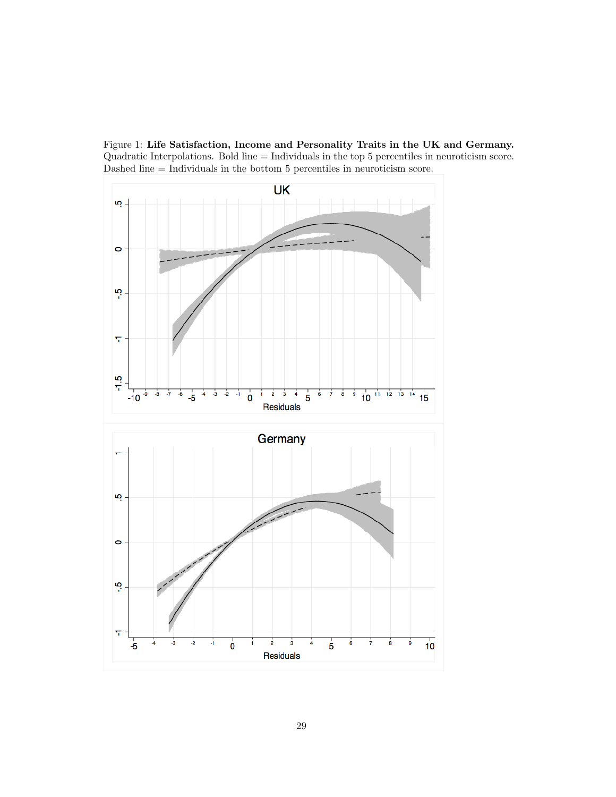<span id="page-30-0"></span>Figure 1: Life Satisfaction, Income and Personality Traits in the UK and Germany. Quadratic Interpolations. Bold line = Individuals in the top 5 percentiles in neuroticism score. Dashed line = Individuals in the bottom 5 percentiles in neuroticism score.

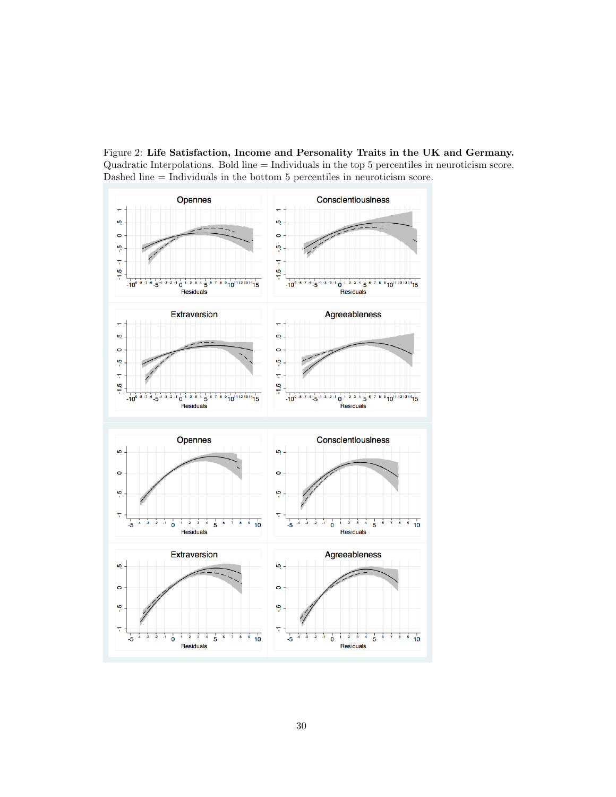<span id="page-31-0"></span>Figure 2: Life Satisfaction, Income and Personality Traits in the UK and Germany. Quadratic Interpolations. Bold line = Individuals in the top 5 percentiles in neuroticism score. Dashed line = Individuals in the bottom 5 percentiles in neuroticism score.

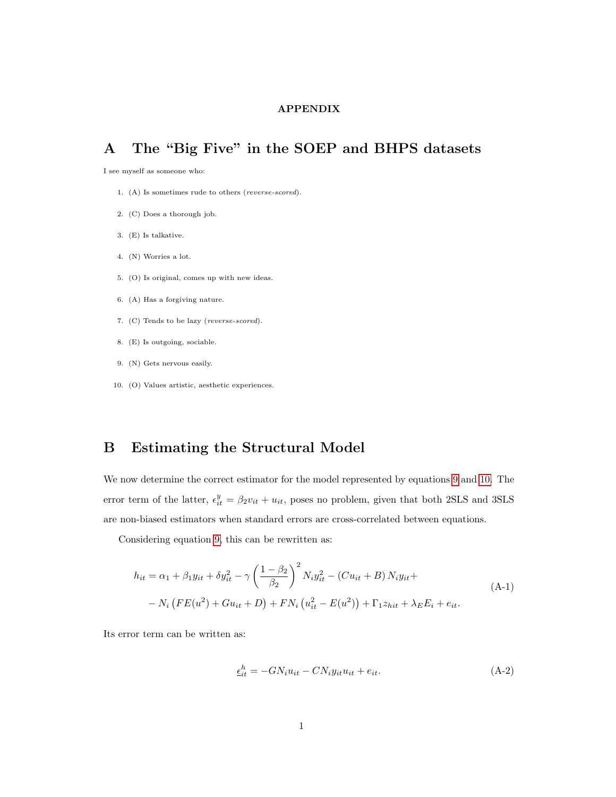#### APPENDIX

## <span id="page-32-0"></span>A The "Big Five" in the SOEP and BHPS datasets

I see myself as someone who:

- 1. (A) Is sometimes rude to others (reverse-scored).
- 2. (C) Does a thorough job.
- 3. (E) Is talkative.
- 4. (N) Worries a lot.
- 5. (O) Is original, comes up with new ideas.
- 6. (A) Has a forgiving nature.
- 7. (C) Tends to be lazy (reverse-scored).
- 8. (E) Is outgoing, sociable.
- 9. (N) Gets nervous easily.
- 10. (O) Values artistic, aesthetic experiences.

## <span id="page-32-1"></span>B Estimating the Structural Model

We now determine the correct estimator for the model represented by equations [9](#page-13-1) and [10.](#page-14-1) The error term of the latter,  $\epsilon_{it}^y = \beta_2 v_{it} + u_{it}$ , poses no problem, given that both 2SLS and 3SLS are non-biased estimators when standard errors are cross-correlated between equations.

Considering equation [9,](#page-13-1) this can be rewritten as:

<span id="page-32-3"></span>
$$
h_{it} = \alpha_1 + \beta_1 y_{it} + \delta y_{it}^2 - \gamma \left(\frac{1 - \beta_2}{\beta_2}\right)^2 N_i y_{it}^2 - (C u_{it} + B) N_i y_{it} +
$$
  
-  $N_i \left( FE(u^2) + Gu_{it} + D \right) + FN_i \left(u_{it}^2 - E(u^2) \right) + \Gamma_1 z_{hit} + \lambda_E E_i + e_{it}.$  (A-1)

Its error term can be written as:

<span id="page-32-2"></span>
$$
\underline{\epsilon}_{it}^{h} = -GN_i u_{it} - CN_i y_{it} u_{it} + e_{it}.
$$
\n(A-2)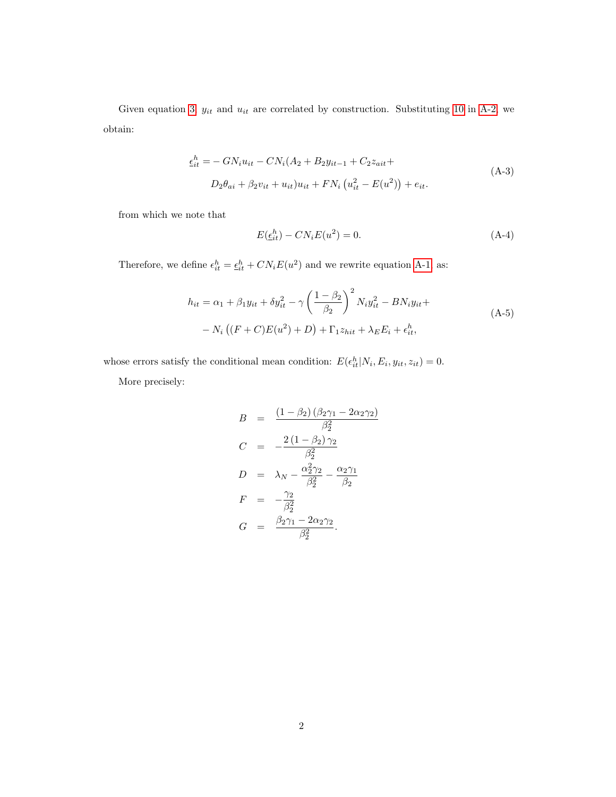Given equation [3,](#page-10-1)  $y_{it}$  and  $u_{it}$  are correlated by construction. Substituting [10](#page-14-1) in [A-2,](#page-32-2) we obtain:

$$
\epsilon_{it}^{h} = -GN_{i}u_{it} - CN_{i}(A_{2} + B_{2}y_{it-1} + C_{2}z_{ait} + D_{2}\theta_{ai} + \beta_{2}v_{it} + u_{it})u_{it} + FN_{i}(u_{it}^{2} - E(u^{2})) + e_{it}.
$$
\n(A-3)

from which we note that

$$
E(\underline{\epsilon}_{it}^h) - CN_i E(u^2) = 0.
$$
\n(A-4)

Therefore, we define  $\epsilon_{it}^h = \underline{\epsilon}_{it}^h + CN_iE(u^2)$  and we rewrite equation [A-1,](#page-32-3) as:

$$
h_{it} = \alpha_1 + \beta_1 y_{it} + \delta y_{it}^2 - \gamma \left(\frac{1 - \beta_2}{\beta_2}\right)^2 N_i y_{it}^2 - B N_i y_{it} +
$$
  
-  $N_i \left((F + C)E(u^2) + D\right) + \Gamma_1 z_{hit} + \lambda_E E_i + \epsilon_{it}^h,$  (A-5)

whose errors satisfy the conditional mean condition:  $E(\epsilon_{it}^h|N_i, E_i, y_{it}, z_{it}) = 0$ .

More precisely:

$$
B = \frac{(1 - \beta_2)(\beta_2\gamma_1 - 2\alpha_2\gamma_2)}{\beta_2^2}
$$
  
\n
$$
C = -\frac{2(1 - \beta_2)\gamma_2}{\beta_2^2}
$$
  
\n
$$
D = \lambda_N - \frac{\alpha_2^2\gamma_2}{\beta_2^2} - \frac{\alpha_2\gamma_1}{\beta_2}
$$
  
\n
$$
F = -\frac{\gamma_2}{\beta_2^2}
$$
  
\n
$$
G = \frac{\beta_2\gamma_1 - 2\alpha_2\gamma_2}{\beta_2^2}.
$$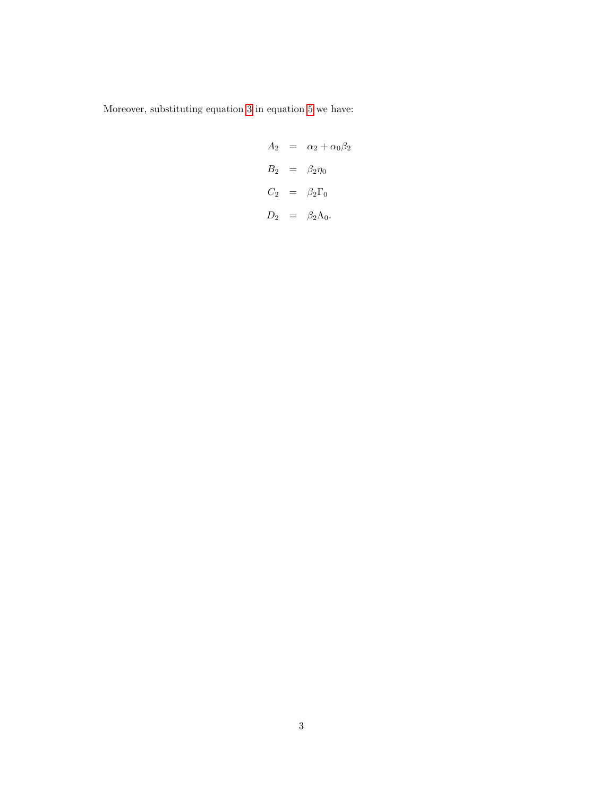Moreover, substituting equation [3](#page-10-1) in equation [5](#page-12-0) we have:

$$
A_2 = \alpha_2 + \alpha_0 \beta_2
$$
  
\n
$$
B_2 = \beta_2 \eta_0
$$
  
\n
$$
C_2 = \beta_2 \Gamma_0
$$
  
\n
$$
D_2 = \beta_2 \Lambda_0.
$$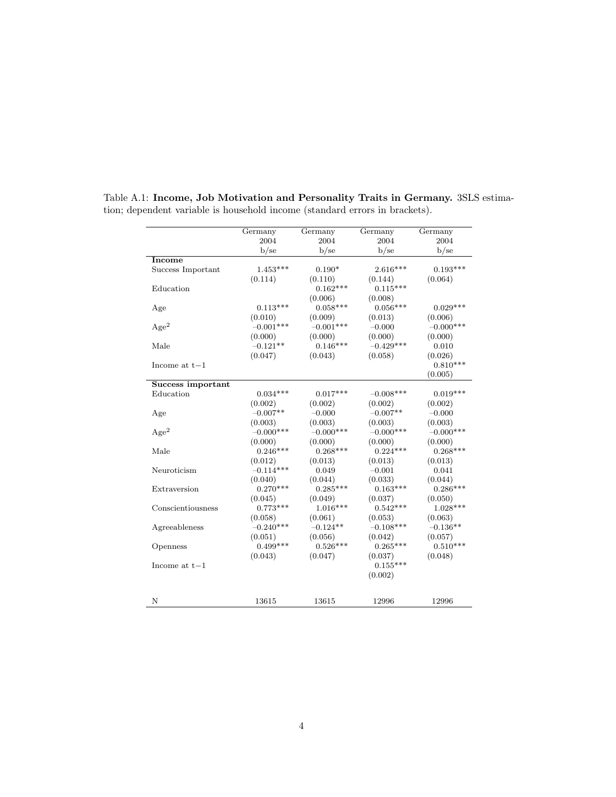|                   | Germany     | Germany     | Germany     | Germany     |
|-------------------|-------------|-------------|-------------|-------------|
|                   | 2004        | 2004        | 2004        | 2004        |
|                   | b/se        | $b$ /se     | $b$ /se     | $b$ /se     |
| Income            |             |             |             |             |
| Success Important | $1.453***$  | $0.190*$    | $2.616***$  | $0.193***$  |
|                   | (0.114)     | (0.110)     | (0.144)     | (0.064)     |
| Education         |             | $0.162***$  | $0.115***$  |             |
|                   |             | (0.006)     | (0.008)     |             |
| Age               | $0.113***$  | $0.058***$  | $0.056***$  | $0.029***$  |
|                   | (0.010)     | (0.009)     | (0.013)     | (0.006)     |
| Age <sup>2</sup>  | $-0.001***$ | $-0.001***$ | $-0.000$    | $-0.000***$ |
|                   | (0.000)     | (0.000)     | (0.000)     | (0.000)     |
| Male              | $-0.121**$  | $0.146***$  | $-0.429***$ | 0.010       |
|                   | (0.047)     | (0.043)     | (0.058)     | (0.026)     |
| Income at $t-1$   |             |             |             | $0.810***$  |
|                   |             |             |             | (0.005)     |
| Success important |             |             |             |             |
| Education         | $0.034***$  | $0.017***$  | $-0.008***$ | $0.019***$  |
|                   | (0.002)     | (0.002)     | (0.002)     | (0.002)     |
| Age               | $-0.007**$  | $-0.000$    | $-0.007**$  | $-0.000$    |
|                   | (0.003)     | (0.003)     | (0.003)     | (0.003)     |
| Age <sup>2</sup>  | $-0.000***$ | $-0.000***$ | $-0.000***$ | $-0.000***$ |
|                   | (0.000)     | (0.000)     | (0.000)     | (0.000)     |
| Male              | $0.246***$  | $0.268***$  | $0.224***$  | $0.268***$  |
|                   | (0.012)     | (0.013)     | (0.013)     | (0.013)     |
| Neuroticism       | $-0.114***$ | 0.049       | $-0.001$    | 0.041       |
|                   | (0.040)     | (0.044)     | (0.033)     | (0.044)     |
| Extraversion      | $0.270***$  | $0.285***$  | $0.163***$  | $0.286***$  |
|                   | (0.045)     | (0.049)     | (0.037)     | (0.050)     |
| Conscientiousness | $0.773***$  | $1.016***$  | $0.542***$  | $1.028***$  |
|                   | (0.058)     | (0.061)     | (0.053)     | (0.063)     |
| Agreeableness     | $-0.240***$ | $-0.124**$  | $-0.108***$ | $-0.136**$  |
|                   | (0.051)     | (0.056)     | (0.042)     | (0.057)     |
| Openness          | $0.499***$  | $0.526***$  | $0.265***$  | $0.510***$  |
|                   | (0.043)     | (0.047)     | (0.037)     | (0.048)     |
| Income at $t-1$   |             |             | $0.155***$  |             |
|                   |             |             | (0.002)     |             |
|                   |             |             |             |             |
|                   |             |             |             |             |
| N                 | 13615       | 13615       | 12996       | 12996       |

Table A.1: Income, Job Motivation and Personality Traits in Germany. 3SLS estimation; dependent variable is household income (standard errors in brackets).